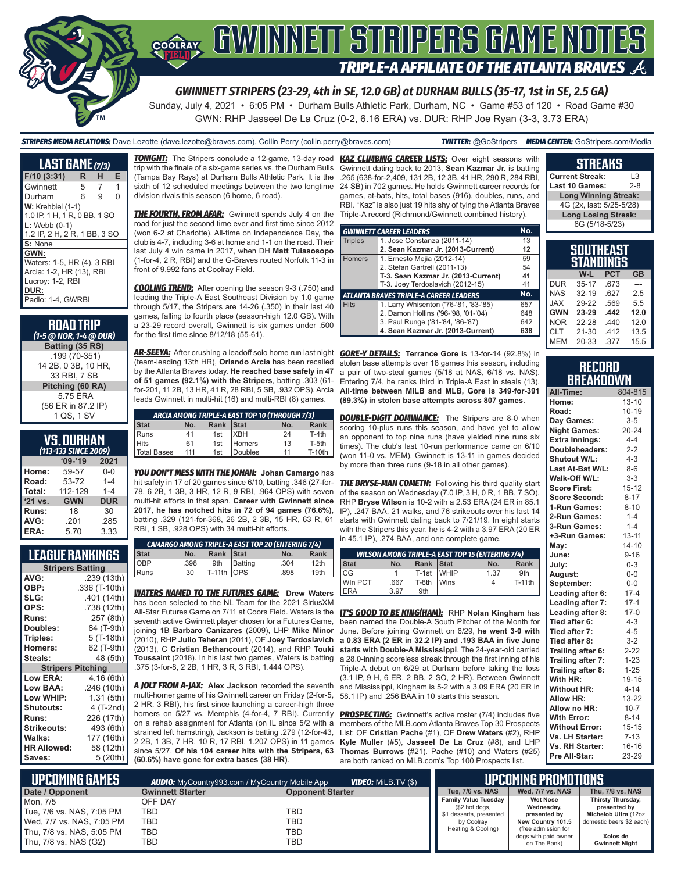

# **COORAY GWINNEIT STRIPERS GAME NOTES TRIPLE-A AFFILIATE OF THE ATLANTA BRAVES A**

*GWINNETT STRIPERS (23-29, 4th in SE, 12.0 GB) at DURHAM BULLS (35-17, 1st in SE, 2.5 GA)*

Sunday, July 4, 2021 • 6:05 PM • Durham Bulls Athletic Park, Durham, NC • Game #53 of 120 • Road Game #30 GWN: RHP Jasseel De La Cruz (0-2, 6.16 ERA) vs. DUR: RHP Joe Ryan (3-3, 3.73 ERA)

*STRIPERS MEDIA RELATIONS:* Dave Lezotte (dave.lezotte@braves.com), Collin Perry (collin.perry@braves.com) *TWITTER:* @GoStripers *MEDIA CENTER:* GoStripers.com/Media

### **STREAKS**

| LAST GAME (7/3)              |    |   |   |  |  |
|------------------------------|----|---|---|--|--|
| F/10(3:31)                   | R. | н | Е |  |  |
| Gwinnett                     | 5  | 7 | 1 |  |  |
| Durham                       | 6  | 9 | 0 |  |  |
| $W:$ Krehbiel $(1-1)$        |    |   |   |  |  |
| 1.0 IP, 1 H, 1 R, 0 BB, 1 SO |    |   |   |  |  |
| $L:$ Webb $(0-1)$            |    |   |   |  |  |
| 1.2 IP, 2 H, 2 R, 1 BB, 3 SO |    |   |   |  |  |
| S: None                      |    |   |   |  |  |
| GWN:                         |    |   |   |  |  |
| Waters: 1-5, HR (4), 3 RBI   |    |   |   |  |  |
| Arcia: 1-2, HR (13), RBI     |    |   |   |  |  |
| Lucroy: 1-2, RBI             |    |   |   |  |  |
| DUR:                         |    |   |   |  |  |
| Padlo: 1-4, GWRBI            |    |   |   |  |  |

#### **ROAD TRIP**  *(1-5 @ NOR, 1-4 @ DUR)* **Batting (35 RS)** .199 (70-351) 14 2B, 0 3B, 10 HR, 33 RBI, 7 SB **Pitching (60 RA)** 5.75 ERA (56 ER in 87.2 IP) 1 QS, 1 SV

### **VS. DURHAM**

| (113-133 SINCE 2009) |            |            |  |  |  |  |
|----------------------|------------|------------|--|--|--|--|
|                      | $09 - 19$  | 2021       |  |  |  |  |
| Home:                | 59-57      | $0 - 0$    |  |  |  |  |
| Road:                | 53-72      | $1 - 4$    |  |  |  |  |
| Total:               | 112-129    | $1 - 4$    |  |  |  |  |
| '21 vs.              | <b>GWN</b> | <b>DUR</b> |  |  |  |  |
| Runs:                | 18         | 30         |  |  |  |  |
| AVG:                 | .201       | .285       |  |  |  |  |
| ERA:                 | 5.70       | 3.33       |  |  |  |  |

#### **LEAGUE RANKINGS**

| <b>Stripers Batting</b>  |               |
|--------------------------|---------------|
| AVG:                     | .239 (13th)   |
| OBP:                     | .336 (T-10th) |
| SLG:                     | .401 (14th)   |
| OPS:                     | .738 (12th)   |
| <b>Runs:</b>             | 257 (8th)     |
| Doubles:                 | 84 (T-9th)    |
| Triples:                 | 5 (T-18th)    |
| <b>Homers:</b>           | 62 (T-9th)    |
| Steals:                  | 48 (5th)      |
|                          |               |
| <b>Stripers Pitching</b> |               |
| <b>Low ERA:</b>          | 4.16 (6th)    |
| Low BAA:                 | .246 (10th)   |
| Low WHIP:                | 1.31(5th)     |
| <b>Shutouts:</b>         | 4 (T-2nd)     |
| Runs:                    | 226 (17th)    |
| <b>Strikeouts:</b>       | 493 (6th)     |
| Walks:                   | 177 (16th)    |
| <b>HR Allowed:</b>       | 58 (12th)     |

trip with the finale of a six-game series vs. the Durham Bulls (Tampa Bay Rays) at Durham Bulls Athletic Park. It is the sixth of 12 scheduled meetings between the two longtime division rivals this season (6 home, 6 road).

**THE FOURTH, FROM AFAR:** Gwinnett spends July 4 on the road for just the second time ever and first time since 2012 (won 6-2 at Charlotte). All-time on Independence Day, the club is 4-7, including 3-6 at home and 1-1 on the road. Their last July 4 win came in 2017, when DH **Matt Tuiasosopo** (1-for-4, 2 R, RBI) and the G-Braves routed Norfolk 11-3 in front of 9,992 fans at Coolray Field.

*COOLING TREND:* After opening the season 9-3 (.750) and leading the Triple-A East Southeast Division by 1.0 game through 5/17, the Stripers are 14-26 (.350) in their last 40 games, falling to fourth place (season-high 12.0 GB). With a 23-29 record overall, Gwinnett is six games under .500 for the first time since 8/12/18 (55-61).

*AR-SEEYA:* After crushing a leadoff solo home run last night *GORE-Y DETAILS:* **Terrance Gore** is 13-for-14 (92.8%) in (team-leading 13th HR), **Orlando Arcia** has been recalled by the Atlanta Braves today. **He reached base safely in 47 of 51 games (92.1%) with the Stripers**, batting .303 (61 for-201, 11 2B, 13 HR, 41 R, 28 RBI, 5 SB, .932 OPS). Arcia leads Gwinnett in multi-hit (16) and multi-RBI (8) games.

| ARCIA AMONG TRIPLE-A EAST TOP 10 (THROUGH 7/3) |     |  |                                                   |     |          |
|------------------------------------------------|-----|--|---------------------------------------------------|-----|----------|
|                                                | No. |  |                                                   | No. | Rank     |
|                                                | 41  |  |                                                   | 24  | T-4th    |
|                                                | 61  |  |                                                   | 13  | T-5th    |
| Stat<br>Runs<br>Hits<br>Total Bases            | 111 |  | Rank Stat<br>1st XBH<br>1st Homers<br>1st Doubles | 11  | $T-10th$ |

*YOU DON'T MESS WITH THE JOHAN:* **Johan Camargo** has hit safely in 17 of 20 games since 6/10, batting .346 (27-for-78, 6 2B, 1 3B, 3 HR, 12 R, 9 RBI, .964 OPS) with seven multi-hit efforts in that span. **Career with Gwinnett since 2017, he has notched hits in 72 of 94 games (76.6%)**, batting .329 (121-for-368, 26 2B, 2 3B, 15 HR, 63 R, 61 RBI, 1 SB, .928 OPS) with 34 multi-hit efforts.

|                     |      |               |                           | <b>CAMARGO AMONG TRIPLE-A EAST TOP 20 (ENTERING 7/4)</b> |                  |
|---------------------|------|---------------|---------------------------|----------------------------------------------------------|------------------|
|                     |      | No. Rank Stat |                           | No.                                                      | Rank             |
|                     | .398 |               |                           | .304                                                     | 12 <sub>th</sub> |
| Stat<br>OBP<br>Runs | 30   |               | 9th Batting<br>T-11th OPS | .898                                                     | 19th             |
|                     |      |               |                           |                                                          |                  |

*WATERS NAMED TO THE FUTURES GAME:* **Drew Waters** has been selected to the NL Team for the 2021 SiriusXM All-Star Futures Game on 7/11 at Coors Field. Waters is the seventh active Gwinnett player chosen for a Futures Game, joining 1B **Barbaro Canizares** (2009), LHP **Mike Minor** (2010), RHP **Julio Teheran** (2011), OF **Joey Terdoslavich** (2013), C **Cristian Bethancourt** (2014), and RHP **Touki Toussaint** (2018). In his last two games, Waters is batting .375 (3-for-8, 2 2B, 1 HR, 3 R, 3 RBI, 1.444 OPS).

*A JOLT FROM A-JAX:* **Alex Jackson** recorded the seventh multi-homer game of his Gwinnett career on Friday (2-for-5, 2 HR, 3 RBI), his first since launching a career-high three homers on 5/27 vs. Memphis (4-for-4, 7 RBI). Currently on a rehab assignment for Atlanta (on IL since 5/2 with a strained left hamstring), Jackson is batting .279 (12-for-43, 2 2B, 1 3B, 7 HR, 10 R, 17 RBI, 1.207 OPS) in 11 games since 5/27. **Of his 104 career hits with the Stripers, 63 (60.6%) have gone for extra bases (38 HR)**.

*TONIGHT:* The Stripers conclude a 12-game, 13-day road *KAZ CLIMBING CAREER LISTS:* Over eight seasons with Gwinnett dating back to 2013, **Sean Kazmar Jr.** is batting .265 (638-for-2,409, 131 2B, 12 3B, 41 HR, 290 R, 284 RBI, 24 SB) in 702 games. He holds Gwinnett career records for games, at-bats, hits, total bases (916), doubles, runs, and RBI. "Kaz" is also just 19 hits shy of tying the Atlanta Braves Triple-A record (Richmond/Gwinnett combined history).

|                | <b>GWINNETT CAREER LEADERS</b>                | No. |
|----------------|-----------------------------------------------|-----|
| <b>Triples</b> | 1. Jose Constanza (2011-14)                   | 13  |
|                | 2. Sean Kazmar Jr. (2013-Current)             | 12  |
| <b>Homers</b>  | 1. Ernesto Mejia (2012-14)                    | 59  |
|                | 2. Stefan Gartrell (2011-13)                  | 54  |
|                | T-3. Sean Kazmar Jr. (2013-Current)           | 41  |
|                | T-3. Joey Terdoslavich (2012-15)              | 41  |
|                | <b>ATLANTA BRAVES TRIPLE-A CAREER LEADERS</b> | No. |
| <b>Hits</b>    | 1. Larry Whisenton ('76-'81, '83-'85)         | 657 |
|                | 2. Damon Hollins ('96-'98, '01-'04)           | 648 |
|                | 3. Paul Runge ('81-'84, '86-'87)              | 642 |
|                | 4. Sean Kazmar Jr. (2013-Current)             | 638 |

stolen base attempts over 18 games this season, including a pair of two-steal games (5/18 at NAS, 6/18 vs. NAS). Entering 7/4, he ranks third in Triple-A East in steals (13). **All-time between MiLB and MLB, Gore is 349-for-391 (89.3%) in stolen base attempts across 807 games**.

**DOUBLE-DIGIT DOMINANCE:** The Stripers are 8-0 when scoring 10-plus runs this season, and have yet to allow an opponent to top nine runs (have yielded nine runs six times). The club's last 10-run performance came on 6/10 (won 11-0 vs. MEM). Gwinnett is 13-11 in games decided by more than three runs (9-18 in all other games).

**THE BRYSE-MAN COMETH:** Following his third quality start of the season on Wednesday (7.0 IP, 3 H, 0 R, 1 BB, 7 SO), RHP **Bryse Wilson** is 10-2 with a 2.53 ERA (24 ER in 85.1 IP), .247 BAA, 21 walks, and 76 strikeouts over his last 14 starts with Gwinnett dating back to 7/21/19. In eight starts with the Stripers this year, he is 4-2 with a 3.97 ERA (20 ER in 45.1 IP), .274 BAA, and one complete game.

|             |      |                 | <b>WILSON AMONG TRIPLE-A EAST TOP 15 (ENTERING 7/4)</b> |          |
|-------------|------|-----------------|---------------------------------------------------------|----------|
| <b>Stat</b> | No.  | Rank Stat       | No.                                                     | Rank     |
| CG          |      | T-1st WHIP      | 1.37                                                    | 9th      |
| Win PCT     | .667 | $T-8th$ Wins    |                                                         | $T-11th$ |
| <b>ERA</b>  | 3.97 | 9 <sub>th</sub> |                                                         |          |

*IT'S GOOD TO BE KING(HAM):* RHP Nolan Kingham has been named the Double-A South Pitcher of the Month for June. Before joining Gwinnett on 6/29, **he went 3-0 with a 0.83 ERA (2 ER in 32.2 IP) and .193 BAA in five June starts with Double-A Mississippi**. The 24-year-old carried a 28.0-inning scoreless streak through the first inning of his Triple-A debut on 6/29 at Durham before taking the loss (3.1 IP, 9 H, 6 ER, 2 BB, 2 SO, 2 HR). Between Gwinnett and Mississippi, Kingham is 5-2 with a 3.09 ERA (20 ER in 58.1 IP) and .256 BAA in 10 starts this season.

**PROSPECTING:** Gwinnett's active roster (7/4) includes five members of the MLB.com Atlanta Braves Top 30 Prospects List: OF **Cristian Pache** (#1), OF **Drew Waters** (#2), RHP **Kyle Muller** (#5), **Jasseel De La Cruz** (#8), and LHP **Thomas Burrows** (#21). Pache (#10) and Waters (#25) are both ranked on MLB.com's Top 100 Prospects list.

| <b>Current Streak:</b><br>l 3 |         |  |
|-------------------------------|---------|--|
| Last 10 Games:                | $2 - 8$ |  |
| <b>Long Winning Streak:</b>   |         |  |
| 4G (2x, last: 5/25-5/28)      |         |  |
| <b>Long Losing Streak:</b>    |         |  |
| 6G (5/18-5/23)                |         |  |
|                               |         |  |

| SOUTHEAST<br>STANDINGS |           |            |      |  |
|------------------------|-----------|------------|------|--|
|                        | W-L       | <b>PCT</b> | GB   |  |
| <b>DUR</b>             | $35 - 17$ | .673       |      |  |
| <b>NAS</b>             | $32-19$   | .627       | 25   |  |
| <b>JAX</b>             | 29-22     | .569       | 5.5  |  |
| <b>GWN</b>             | 23-29     | .442       | 12.0 |  |
| <b>NOR</b>             | 22-28     | .440       | 12.0 |  |
| CLT                    | $21 - 30$ | .412       | 13.5 |  |
| <b>MEM</b>             | 20-33     | .377       | 15.5 |  |

#### **RECORD BREAKDOWN**

| All-Time:             | 804-815   |
|-----------------------|-----------|
| Home:                 | $13 - 10$ |
| Road:                 | $10 - 19$ |
| Day Games:            | $3 - 5$   |
| <b>Night Games:</b>   | $20 - 24$ |
| <b>Extra Innings:</b> | $4 - 4$   |
| Doubleheaders:        | $2 - 2$   |
| Shutout W/L:          | $4 - 3$   |
| Last At-Bat W/L:      | $8 - 6$   |
| Walk-Off W/L:         | $3 - 3$   |
| <b>Score First:</b>   | $15 - 12$ |
| <b>Score Second:</b>  | $8 - 17$  |
| 1-Run Games:          | $8 - 10$  |
| 2-Run Games:          | $1 - 4$   |
| 3-Run Games:          | $1 - 4$   |
| +3-Run Games:         | $13 - 11$ |
| May:                  | $14 - 10$ |
| June:                 | $9 - 16$  |
| July:                 | $0 - 3$   |
| August:               | $0-0$     |
| September:            | $0 - 0$   |
| Leading after 6:      | $17 - 4$  |
| Leading after 7:      | $17-1$    |
| Leading after 8:      | $17-0$    |
| Tied after 6:         | $4 - 3$   |
| Tied after 7:         | $4 - 5$   |
| Tied after 8:         | $3 - 2$   |
| Trailing after 6:     | $2 - 22$  |
| Trailing after 7:     | $1 - 23$  |
| Trailing after 8:     | $1 - 25$  |
| With HR:              | 19-15     |
| <b>Without HR:</b>    | $4 - 14$  |
| <b>Allow HR:</b>      | 13-22     |
| Allow no HR:          | $10 - 7$  |
| <b>With Error:</b>    | $8 - 14$  |
| <b>Without Error:</b> | $15 - 15$ |
| Vs. LH Starter:       | $7 - 13$  |
| Vs. RH Starter:       | $16 - 16$ |
| Pre All-Star:         | 23-29     |

| $\blacksquare$ upcoming games $\blacksquare$<br><b>VIDEO:</b> Milb.TV (\$)<br><b>AUDIO:</b> MyCountry993.com / MyCountry Mobile App |                         |                         |                                               | UPCOMING PROMOTIONS '                |                                   |
|-------------------------------------------------------------------------------------------------------------------------------------|-------------------------|-------------------------|-----------------------------------------------|--------------------------------------|-----------------------------------|
| Date / Opponent                                                                                                                     | <b>Gwinnett Starter</b> | <b>Opponent Starter</b> | <b>Tue. 7/6 vs. NAS</b>                       | Wed. 7/7 vs. NAS                     | Thu, 7/8 vs. NAS                  |
| Mon. 7/5                                                                                                                            | OFF DAY                 |                         | <b>Family Value Tuesday</b><br>(\$2 hot dogs, | <b>Wet Nose</b><br>Wednesday,        | Thirsty Thursday,<br>presented by |
| Tue, 7/6 vs. NAS, 7:05 PM                                                                                                           | TBD                     | TBD                     | \$1 desserts, presented                       | presented by                         | Michelob Ultra (12oz              |
| Wed, 7/7 vs. NAS, 7:05 PM                                                                                                           | TBD                     | TBD                     | by Coolrav                                    | New Country 101.5                    | domestic beers \$2 each)          |
| Thu, 7/8 vs. NAS, 5:05 PM                                                                                                           | <b>TBD</b>              | TBD                     | Heating & Cooling)                            | (free admission for                  | Xolos de                          |
| Thu, 7/8 vs. NAS (G2)                                                                                                               | TBD                     | TBD                     |                                               | dogs with paid owner<br>on The Bank) | <b>Gwinnett Night</b>             |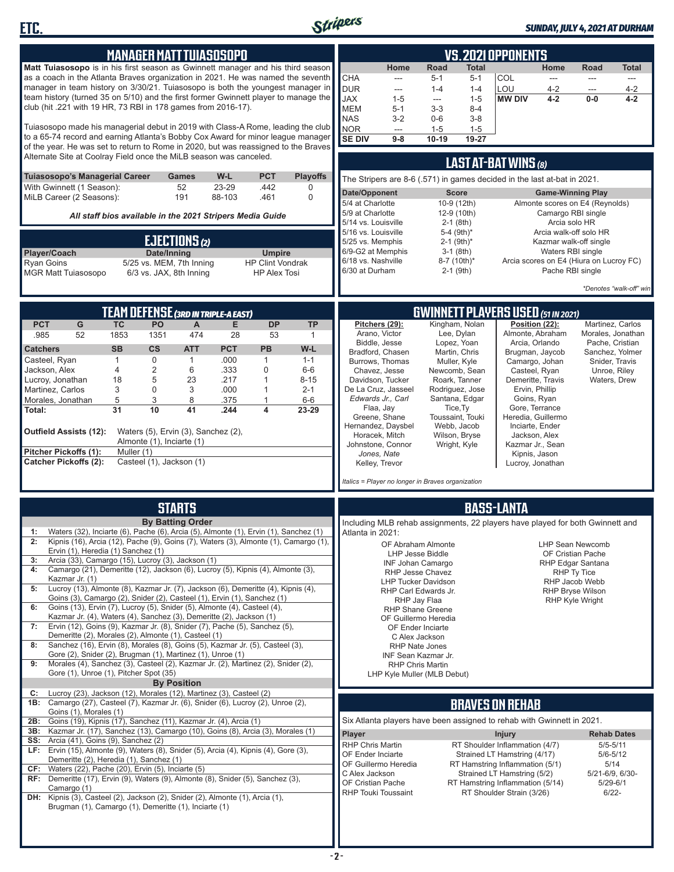

| <b>MANAGER MATT TUIASOSOPO</b>                                                                                                                                                                                                                                                                                                                                                                                                                                                                                                                                                                                                                                                                                                                                                                                                                                                                                                                                                                                                                                                                                                                                                                                                                                                                                         | <b>VS. 2021 OPPONENTS</b>                                                                                                                                                                                                                                                                                                                                                                                                                                                                                                                                                                                                                                                                                                                                                                                                                                                                                                                                                                                                                  |  |  |  |
|------------------------------------------------------------------------------------------------------------------------------------------------------------------------------------------------------------------------------------------------------------------------------------------------------------------------------------------------------------------------------------------------------------------------------------------------------------------------------------------------------------------------------------------------------------------------------------------------------------------------------------------------------------------------------------------------------------------------------------------------------------------------------------------------------------------------------------------------------------------------------------------------------------------------------------------------------------------------------------------------------------------------------------------------------------------------------------------------------------------------------------------------------------------------------------------------------------------------------------------------------------------------------------------------------------------------|--------------------------------------------------------------------------------------------------------------------------------------------------------------------------------------------------------------------------------------------------------------------------------------------------------------------------------------------------------------------------------------------------------------------------------------------------------------------------------------------------------------------------------------------------------------------------------------------------------------------------------------------------------------------------------------------------------------------------------------------------------------------------------------------------------------------------------------------------------------------------------------------------------------------------------------------------------------------------------------------------------------------------------------------|--|--|--|
| Matt Tuiasosopo is in his first season as Gwinnett manager and his third season<br>as a coach in the Atlanta Braves organization in 2021. He was named the seventh<br>manager in team history on 3/30/21. Tuiasosopo is both the youngest manager in<br>team history (turned 35 on 5/10) and the first former Gwinnett player to manage the<br>club (hit .221 with 19 HR, 73 RBI in 178 games from 2016-17).                                                                                                                                                                                                                                                                                                                                                                                                                                                                                                                                                                                                                                                                                                                                                                                                                                                                                                           | Road<br>Home<br>Total<br>Home<br>Road<br><b>Total</b><br>CHA<br>COL<br>$5 - 1$<br>$5 - 1$<br>$\frac{1}{2}$<br>---<br><b>DUR</b><br>LOU<br>$1 - 4$<br>$1 - 4$<br>$4 - 2$<br>4-2<br>---<br>---<br><b>JAX</b><br><b>MW DIV</b><br>$1 - 5$<br>$4 - 2$<br>$4 - 2$<br>$1 - 5$<br>0-0<br>$\sim$<br><b>MEM</b><br>$3 - 3$<br>$8 - 4$<br>$5 - 1$<br><b>NAS</b><br>$3 - 2$<br>$0-6$<br>$3 - 8$                                                                                                                                                                                                                                                                                                                                                                                                                                                                                                                                                                                                                                                       |  |  |  |
| Tuiasosopo made his managerial debut in 2019 with Class-A Rome, leading the club<br>to a 65-74 record and earning Atlanta's Bobby Cox Award for minor league manager<br>of the year. He was set to return to Rome in 2020, but was reassigned to the Braves<br>Alternate Site at Coolray Field once the MiLB season was canceled.                                                                                                                                                                                                                                                                                                                                                                                                                                                                                                                                                                                                                                                                                                                                                                                                                                                                                                                                                                                      | NOR<br>$1 - 5$<br>$1 - 5$<br>---<br><b>SE DIV</b><br>$19 - 27$<br>$9-8$<br>10-19<br><b>LAST AT-BAT WINS (8)</b>                                                                                                                                                                                                                                                                                                                                                                                                                                                                                                                                                                                                                                                                                                                                                                                                                                                                                                                            |  |  |  |
| Tuiasosopo's Managerial Career<br>W-L<br><b>PCT</b><br><b>Playoffs</b><br>Games<br>With Gwinnett (1 Season):<br>52<br>23-29<br>.442<br>0<br>0<br>MiLB Career (2 Seasons):<br>191<br>88-103<br>.461<br>All staff bios available in the 2021 Stripers Media Guide<br><b>EJECTIONS</b> (2)                                                                                                                                                                                                                                                                                                                                                                                                                                                                                                                                                                                                                                                                                                                                                                                                                                                                                                                                                                                                                                | The Stripers are 8-6 (.571) in games decided in the last at-bat in 2021.<br>Date/Opponent<br><b>Score</b><br><b>Game-Winning Play</b><br>5/4 at Charlotte<br>10-9 (12th)<br>Almonte scores on E4 (Reynolds)<br>5/9 at Charlotte<br>Camargo RBI single<br>12-9 (10th)<br>Arcia solo HR<br>5/14 vs. Louisville<br>$2-1$ (8th)<br>Arcia walk-off solo HR<br>5/16 vs. Louisville<br>5-4 (9th)*<br>5/25 vs. Memphis<br>$2-1$ (9th) <sup>*</sup><br>Kazmar walk-off single                                                                                                                                                                                                                                                                                                                                                                                                                                                                                                                                                                       |  |  |  |
| Player/Coach<br>Date/Inning<br><b>Umpire</b><br>5/25 vs. MEM, 7th Inning<br><b>HP Clint Vondrak</b><br><b>Ryan Goins</b><br>6/3 vs. JAX, 8th Inning<br><b>HP Alex Tosi</b><br><b>MGR Matt Tuiasosopo</b>                                                                                                                                                                                                                                                                                                                                                                                                                                                                                                                                                                                                                                                                                                                                                                                                                                                                                                                                                                                                                                                                                                               | 6/9-G2 at Memphis<br>Waters RBI single<br>$3-1$ (8th)<br>6/18 vs. Nashville<br>Arcia scores on E4 (Hiura on Lucroy FC)<br>8-7 (10th)*<br>6/30 at Durham<br>Pache RBI single<br>$2-1$ (9th)<br>*Denotes "walk-off" win                                                                                                                                                                                                                                                                                                                                                                                                                                                                                                                                                                                                                                                                                                                                                                                                                      |  |  |  |
| <b>TEAM DEFENSE (3RD IN TRIPLE-A EAST)</b>                                                                                                                                                                                                                                                                                                                                                                                                                                                                                                                                                                                                                                                                                                                                                                                                                                                                                                                                                                                                                                                                                                                                                                                                                                                                             | <b>GWINNETT PLAYERS USED (51 IN 2021)</b>                                                                                                                                                                                                                                                                                                                                                                                                                                                                                                                                                                                                                                                                                                                                                                                                                                                                                                                                                                                                  |  |  |  |
| <b>DP</b><br><b>PCT</b><br>G<br><b>TC</b><br>PO<br>E<br><b>TP</b><br>$\mathsf{A}$<br>52<br>.985<br>1853<br>1351<br>474<br>28<br>53<br>1<br><b>SB</b><br><b>CS</b><br><b>PCT</b><br>W-L<br><b>ATT</b><br><b>PB</b><br><b>Catchers</b><br>$\mathbf{1}$<br>0<br>.000<br>Casteel, Ryan<br>$\mathbf{1}$<br>$\mathbf{1}$<br>$1 - 1$<br>$\overline{2}$<br>.333<br>$\mathbf 0$<br>Jackson, Alex<br>$\overline{4}$<br>6<br>$6-6$<br>5<br>18<br>23<br>.217<br>$\mathbf{1}$<br>$8 - 15$<br>Lucroy, Jonathan<br>3<br>0<br>3<br>.000<br>$2 - 1$<br>Martinez, Carlos<br>1<br>5<br>3<br>8<br>.375<br>$6-6$<br>Morales, Jonathan<br>1<br>31<br>10<br>41<br>4<br>23-29<br>.244<br>Total:<br>Waters (5), Ervin (3), Sanchez (2),<br>Outfield Assists (12):<br>Almonte (1), Inciarte (1)<br>Pitcher Pickoffs (1):<br>Muller (1)<br><b>Catcher Pickoffs (2):</b><br>Casteel (1), Jackson (1)                                                                                                                                                                                                                                                                                                                                                                                                                                               | Kingham, Nolan<br>Pitchers (29):<br>Position (22):<br>Martinez, Carlos<br>Arano, Victor<br>Lee, Dylan<br>Almonte, Abraham<br>Morales, Jonathan<br>Biddle, Jesse<br>Lopez, Yoan<br>Arcia, Orlando<br>Pache, Cristian<br>Bradford, Chasen<br>Martin, Chris<br>Brugman, Jaycob<br>Sanchez, Yolmer<br>Burrows, Thomas<br>Muller, Kyle<br>Camargo, Johan<br>Snider, Travis<br>Chavez, Jesse<br>Newcomb, Sean<br>Casteel, Ryan<br>Unroe, Riley<br>Demeritte, Travis<br>Davidson, Tucker<br>Roark, Tanner<br>Waters, Drew<br>De La Cruz, Jasseel<br>Rodriguez, Jose<br>Ervin, Phillip<br>Edwards Jr., Carl<br>Santana, Edgar<br>Goins, Ryan<br>Gore, Terrance<br>Flaa, Jay<br>Tice, Ty<br>Greene, Shane<br>Toussaint, Touki<br>Heredia, Guillermo<br>Hernandez, Daysbel<br>Webb, Jacob<br>Inciarte, Ender<br>Horacek, Mitch<br>Wilson, Bryse<br>Jackson, Alex<br>Johnstone, Connor<br>Wright, Kyle<br>Kazmar Jr., Sean<br>Jones, Nate<br>Kipnis, Jason<br>Kelley, Trevor<br>Lucroy, Jonathan<br>Italics = Player no longer in Braves organization |  |  |  |
|                                                                                                                                                                                                                                                                                                                                                                                                                                                                                                                                                                                                                                                                                                                                                                                                                                                                                                                                                                                                                                                                                                                                                                                                                                                                                                                        |                                                                                                                                                                                                                                                                                                                                                                                                                                                                                                                                                                                                                                                                                                                                                                                                                                                                                                                                                                                                                                            |  |  |  |
| <b>STARTS</b><br><b>By Batting Order</b><br>Waters (32), Inciarte (6), Pache (6), Arcia (5), Almonte (1), Ervin (1), Sanchez (1)<br>1:<br>2:<br>Kipnis (16), Arcia (12), Pache (9), Goins (7), Waters (3), Almonte (1), Camargo (1),<br>Ervin (1), Heredia (1) Sanchez (1)<br>Arcia (33), Camargo (15), Lucroy (3), Jackson (1)<br>3:<br>Camargo (21), Demeritte (12), Jackson (6), Lucroy (5), Kipnis (4), Almonte (3),<br>4:<br>Kazmar Jr. (1)<br>Lucroy (13), Almonte (8), Kazmar Jr. (7), Jackson (6), Demeritte (4), Kipnis (4),<br>5:<br>Goins (3), Camargo (2), Snider (2), Casteel (1), Ervin (1), Sanchez (1)<br>Goins (13), Ervin (7), Lucroy (5), Snider (5), Almonte (4), Casteel (4),<br>6:<br>Kazmar Jr. (4), Waters (4), Sanchez (3), Demeritte (2), Jackson (1)<br>Ervin (12), Goins (9), Kazmar Jr. (8), Snider (7), Pache (5), Sanchez (5),<br>7:<br>Demeritte (2), Morales (2), Almonte (1), Casteel (1)<br>Sanchez (16), Ervin (8), Morales (8), Goins (5), Kazmar Jr. (5), Casteel (3),<br>8:<br>Gore (2), Snider (2), Brugman (1), Martinez (1), Unroe (1)<br>Morales (4), Sanchez (3), Casteel (2), Kazmar Jr. (2), Martinez (2), Snider (2),<br>9:<br>Gore (1), Unroe (1), Pitcher Spot (35)<br><b>By Position</b><br>Lucroy (23), Jackson (12), Morales (12), Martinez (3), Casteel (2)<br>C: | <b>BASS-LANTA</b><br>Including MLB rehab assignments, 22 players have played for both Gwinnett and<br>Atlanta in 2021:<br><b>LHP Sean Newcomb</b><br>OF Abraham Almonte<br>LHP Jesse Biddle<br>OF Cristian Pache<br><b>INF Johan Camargo</b><br>RHP Edgar Santana<br>RHP Jesse Chavez<br>RHP Ty Tice<br>RHP Jacob Webb<br><b>LHP Tucker Davidson</b><br>RHP Carl Edwards Jr.<br><b>RHP Bryse Wilson</b><br>RHP Jay Flaa<br><b>RHP Kyle Wright</b><br><b>RHP Shane Greene</b><br>OF Guillermo Heredia<br>OF Ender Inciarte<br>C Alex Jackson<br><b>RHP Nate Jones</b><br>INF Sean Kazmar Jr.<br><b>RHP Chris Martin</b><br>LHP Kyle Muller (MLB Debut)                                                                                                                                                                                                                                                                                                                                                                                      |  |  |  |
| Camargo (27), Casteel (7), Kazmar Jr. (6), Snider (6), Lucroy (2), Unroe (2),<br>1B:<br>Goins (1), Morales (1)                                                                                                                                                                                                                                                                                                                                                                                                                                                                                                                                                                                                                                                                                                                                                                                                                                                                                                                                                                                                                                                                                                                                                                                                         | <b>BRAVES ON REHAB</b>                                                                                                                                                                                                                                                                                                                                                                                                                                                                                                                                                                                                                                                                                                                                                                                                                                                                                                                                                                                                                     |  |  |  |
| Goins (19), Kipnis (17), Sanchez (11), Kazmar Jr. (4), Arcia (1)<br>2B:<br>Kazmar Jr. (17), Sanchez (13), Camargo (10), Goins (8), Arcia (3), Morales (1)<br>3B:<br>Arcia (41), Goins (9), Sanchez (2)<br>SS:<br>LF: Ervin (15), Almonte (9), Waters (8), Snider (5), Arcia (4), Kipnis (4), Gore (3),<br>Demeritte (2), Heredia (1), Sanchez (1)<br>CF:<br>Waters (22), Pache (20), Ervin (5), Inciarte (5)<br>RF: Demeritte (17), Ervin (9), Waters (9), Almonte (8), Snider (5), Sanchez (3),<br>Camargo (1)<br>DH: Kipnis (3), Casteel (2), Jackson (2), Snider (2), Almonte (1), Arcia (1),<br>Brugman (1), Camargo (1), Demeritte (1), Inciarte (1)                                                                                                                                                                                                                                                                                                                                                                                                                                                                                                                                                                                                                                                              | Six Atlanta players have been assigned to rehab with Gwinnett in 2021.<br>Player<br><b>Injury</b><br><b>Rehab Dates</b><br>RHP Chris Martin<br>RT Shoulder Inflammation (4/7)<br>$5/5 - 5/11$<br>OF Ender Inciarte<br>Strained LT Hamstring (4/17)<br>$5/6 - 5/12$<br>OF Guillermo Heredia<br>RT Hamstring Inflammation (5/1)<br>5/14<br>C Alex Jackson<br>5/21-6/9, 6/30-<br>Strained LT Hamstring (5/2)<br>OF Cristian Pache<br>RT Hamstring Inflammation (5/14)<br>$5/29 - 6/1$<br><b>RHP Touki Toussaint</b><br>$6/22 -$<br>RT Shoulder Strain (3/26)                                                                                                                                                                                                                                                                                                                                                                                                                                                                                  |  |  |  |
|                                                                                                                                                                                                                                                                                                                                                                                                                                                                                                                                                                                                                                                                                                                                                                                                                                                                                                                                                                                                                                                                                                                                                                                                                                                                                                                        |                                                                                                                                                                                                                                                                                                                                                                                                                                                                                                                                                                                                                                                                                                                                                                                                                                                                                                                                                                                                                                            |  |  |  |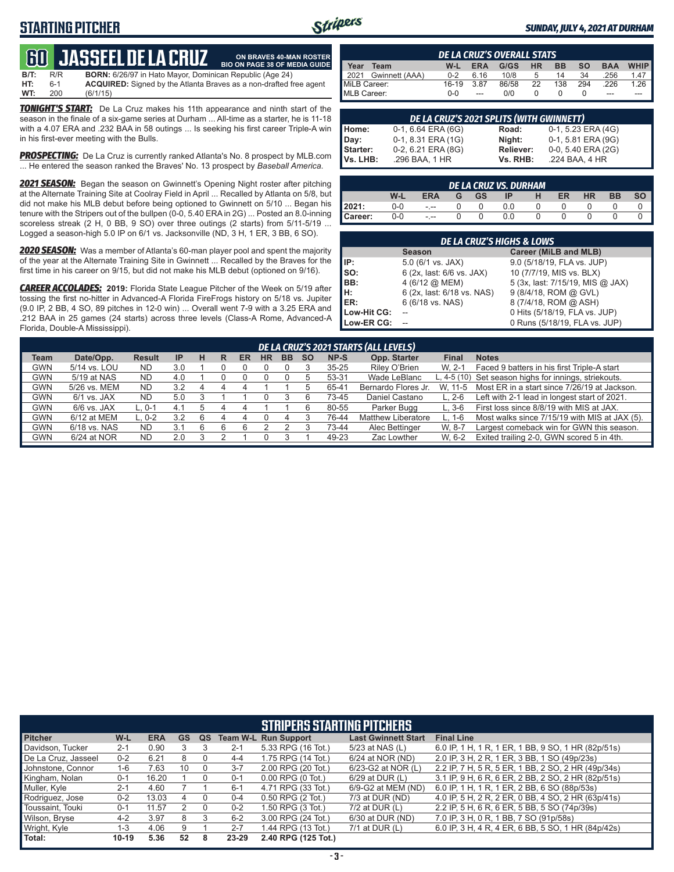### **STARTING PITCHER**



**ON BRAVES 40-MAN ROSTER**

#### *SUNDAY, JULY 4, 2021 AT DURHAM*

# **60****JASSEEL DE LA CRUZ**

**B/T:** R/R **BORN:** 6/26/97 in Hato Mayor, Dominican Republic (Age 24)<br>**HT:** 6-1 **ACQUIRED:** Signed by the Atlanta Braves as a non-drafted f **HT:** 6-1 **ACQUIRED:** Signed by the Atlanta Braves as a non-drafted free agent **WT:** 200 (6/1/15) **BIO ON PAGE 38 OF MEDIA GUIDE**

*TONIGHT'S START:* De La Cruz makes his 11th appearance and ninth start of the season in the finale of a six-game series at Durham ... All-time as a starter, he is 11-18 with a 4.07 ERA and .232 BAA in 58 outings ... Is seeking his first career Triple-A win in his first-ever meeting with the Bulls.

*PROSPECTING:* De La Cruz is currently ranked Atlanta's No. 8 prospect by MLB.com ... He entered the season ranked the Braves' No. 13 prospect by *Baseball America*.

*2021 SEASON:* Began the season on Gwinnett's Opening Night roster after pitching at the Alternate Training Site at Coolray Field in April ... Recalled by Atlanta on 5/8, but did not make his MLB debut before being optioned to Gwinnett on 5/10 ... Began his tenure with the Stripers out of the bullpen (0-0, 5.40 ERA in 2G) ... Posted an 8.0-inning scoreless streak (2 H, 0 BB, 9 SO) over three outings (2 starts) from 5/11-5/19 ... Logged a season-high 5.0 IP on 6/1 vs. Jacksonville (ND, 3 H, 1 ER, 3 BB, 6 SO).

*2020 SEASON:* Was a member of Atlanta's 60-man player pool and spent the majority of the year at the Alternate Training Site in Gwinnett ... Recalled by the Braves for the first time in his career on 9/15, but did not make his MLB debut (optioned on 9/16).

*CAREER ACCOLADES:* **2019:** Florida State League Pitcher of the Week on 5/19 after tossing the first no-hitter in Advanced-A Florida FireFrogs history on 5/18 vs. Jupiter (9.0 IP, 2 BB, 4 SO, 89 pitches in 12-0 win) ... Overall went 7-9 with a 3.25 ERA and .212 BAA in 25 games (24 starts) across three levels (Class-A Rome, Advanced-A Florida, Double-A Mississippi).

|                     | <b>DE LA CRUZ'S OVERALL STATS</b> |         |            |       |           |           |           |            |                       |  |  |  |  |  |
|---------------------|-----------------------------------|---------|------------|-------|-----------|-----------|-----------|------------|-----------------------|--|--|--|--|--|
| Year                | Team                              | W-L     | <b>ERA</b> | G/GS  | <b>HR</b> | <b>BB</b> | <b>SO</b> | <b>BAA</b> | <b>WHIP</b>           |  |  |  |  |  |
| 2021                | Gwinnett (AAA)                    | $0 - 2$ | 6 16       | 10/8  | 5         | 14        | 34        | .256       | 1.47                  |  |  |  |  |  |
| MiLB Career:        |                                   | 16-19   | 3.87       | 86/58 | 22        | 138       | 294       | .226       | $1.26$ $\blacksquare$ |  |  |  |  |  |
| <b>IMLB Career:</b> |                                   | $0 - 0$ | ---        | 0/0   |           |           |           | ---        |                       |  |  |  |  |  |

|                      | DE LA CRUZ'S 2021 SPLITS (WITH GWINNETT) |                       |                                      |  |  |  |  |  |  |  |  |  |
|----------------------|------------------------------------------|-----------------------|--------------------------------------|--|--|--|--|--|--|--|--|--|
| Home:                | 0-1, 6.64 ERA (6G)                       | Road:                 | 0-1, 5.23 ERA (4G)                   |  |  |  |  |  |  |  |  |  |
| Day:                 | 0-1, 8.31 ERA (1G)                       | Night:                | 0-1, 5.81 ERA (9G)                   |  |  |  |  |  |  |  |  |  |
| Starter:<br>Vs. LHB: | 0-2, 6.21 ERA (8G)<br>.296 BAA, 1 HR     | Reliever:<br>Vs. RHB: | 0-0, 5.40 ERA (2G)<br>.224 BAA, 4 HR |  |  |  |  |  |  |  |  |  |
|                      |                                          |                       |                                      |  |  |  |  |  |  |  |  |  |

| <b>DE LA CRUZ VS. DURHAM</b> |     |            |   |           |     |  |    |           |           |  |  |  |  |
|------------------------------|-----|------------|---|-----------|-----|--|----|-----------|-----------|--|--|--|--|
|                              | W-L | <b>ERA</b> | G | <b>GS</b> | 1P  |  | ER | <b>HR</b> | <b>BB</b> |  |  |  |  |
| 12021:                       | 0-0 | $- - -$    |   |           | 0.0 |  |    |           |           |  |  |  |  |
| Career:                      | 0-0 | $- - -$    |   |           | 0.0 |  |    |           |           |  |  |  |  |

|             | DE LA CRUZ'S HIGHS & LOWS  |                                  |  |  |  |  |  |  |  |  |  |  |
|-------------|----------------------------|----------------------------------|--|--|--|--|--|--|--|--|--|--|
|             | <b>Season</b>              | Career (MiLB and MLB)            |  |  |  |  |  |  |  |  |  |  |
| IP:         | $5.0$ (6/1 vs. JAX)        | 9.0 (5/18/19, FLA vs. JUP)       |  |  |  |  |  |  |  |  |  |  |
| SO:         | 6 (2x, last: 6/6 vs. JAX)  | 10 (7/7/19, MIS vs. BLX)         |  |  |  |  |  |  |  |  |  |  |
| BB:         | 4 (6/12 @ MEM)             | 5 (3x, last: 7/15/19, MIS @ JAX) |  |  |  |  |  |  |  |  |  |  |
| н:          | 6 (2x, last: 6/18 vs. NAS) | 9 (8/4/18, ROM @ GVL)            |  |  |  |  |  |  |  |  |  |  |
| ER:         | 6 (6/18 vs. NAS)           | 8 (7/4/18, ROM @ ASH)            |  |  |  |  |  |  |  |  |  |  |
| Low-Hit CG: |                            | 0 Hits (5/18/19, FLA vs. JUP)    |  |  |  |  |  |  |  |  |  |  |
| Low-ER CG:  |                            | 0 Runs (5/18/19, FLA vs. JUP)    |  |  |  |  |  |  |  |  |  |  |

| DE LA CRUZ'S 2021 STARTS (ALL LEVELS) |               |               |           |   |   |    |           |           |           |           |                           |              |                                                       |
|---------------------------------------|---------------|---------------|-----------|---|---|----|-----------|-----------|-----------|-----------|---------------------------|--------------|-------------------------------------------------------|
| Team                                  | Date/Opp.     | <b>Result</b> | <b>IP</b> | н | R | ER | <b>HR</b> | <b>BB</b> | <b>SO</b> | NP-S      | Opp. Starter              | <b>Final</b> | <b>Notes</b>                                          |
| <b>GWN</b>                            | 5/14 vs. LOU  | <b>ND</b>     | 3.0       |   |   |    |           |           |           | $35 - 25$ | Riley O'Brien             | W. 2-1       | Faced 9 batters in his first Triple-A start           |
| <b>GWN</b>                            | 5/19 at NAS   | <b>ND</b>     | 4.0       |   |   |    |           |           |           | 53-31     | Wade LeBlanc              |              | L, 4-5 (10) Set season highs for innings, striekouts. |
| <b>GWN</b>                            | 5/26 vs. MEM  | <b>ND</b>     | 3.2       | 4 |   |    |           |           |           | 65-41     | Bernardo Flores Jr.       | W. 11-5      | Most ER in a start since 7/26/19 at Jackson.          |
| <b>GWN</b>                            | $6/1$ vs. JAX | <b>ND</b>     | 5.0       |   |   |    |           |           |           | 73-45     | Daniel Castano            | $L. 2-6$     | Left with 2-1 lead in longest start of 2021.          |
| <b>GWN</b>                            | $6/6$ vs. JAX | L. 0-1        | 4.1       |   | 4 | 4  |           |           |           | 80-55     | Parker Bugg               | $L.3-6$      | First loss since 8/8/19 with MIS at JAX.              |
| <b>GWN</b>                            | 6/12 at MEM   | L. 0-2        | 3.2       | 6 |   |    |           |           |           | 76-44     | <b>Matthew Liberatore</b> | L. 1-6       | Most walks since 7/15/19 with MIS at JAX (5).         |
| <b>GWN</b>                            | 6/18 vs. NAS  | ND            | 3.1       | 6 |   |    |           |           |           | 73-44     | Alec Bettinger            | W. 8-7       | Largest comeback win for GWN this season.             |
| <b>GWN</b>                            | 6/24 at NOR   | <b>ND</b>     | 2.0       |   |   |    |           |           |           | 49-23     | Zac Lowther               | W. 6-2       | Exited trailing 2-0, GWN scored 5 in 4th.             |

| <b>STRIPERS STARTING PITCHERS</b> |           |            |           |    |         |                             |                            |                                                    |  |  |  |  |
|-----------------------------------|-----------|------------|-----------|----|---------|-----------------------------|----------------------------|----------------------------------------------------|--|--|--|--|
| <b>Pitcher</b>                    | W-L       | <b>ERA</b> | <b>GS</b> | QS |         | <b>Team W-L Run Support</b> | <b>Last Gwinnett Start</b> | <b>Final Line</b>                                  |  |  |  |  |
| Davidson, Tucker                  | $2 - 1$   | 0.90       |           |    | 2-1     | 5.33 RPG (16 Tot.)          | 5/23 at NAS (L)            | 6.0 IP, 1 H, 1 R, 1 ER, 1 BB, 9 SO, 1 HR (82p/51s) |  |  |  |  |
| De La Cruz, Jasseel               | $0 - 2$   | 6.21       | 8         |    | $4 - 4$ | 1.75 RPG (14 Tot.)          | 6/24 at NOR (ND)           | 2.0 IP, 3 H, 2 R, 1 ER, 3 BB, 1 SO (49p/23s)       |  |  |  |  |
| Johnstone, Connor                 | $1-6$     | 7.63       | 10        |    | $3 - 7$ | 2.00 RPG (20 Tot.)          | 6/23-G2 at NOR (L)         | 2.2 IP, 7 H, 5 R, 5 ER, 1 BB, 2 SO, 2 HR (49p/34s) |  |  |  |  |
| Kingham, Nolan                    | $0 - 1$   | 16.20      |           |    | $0 - 1$ | $0.00$ RPG $(0$ Tot.)       | 6/29 at DUR (L)            | 3.1 IP, 9 H, 6 R, 6 ER, 2 BB, 2 SO, 2 HR (82p/51s) |  |  |  |  |
| Muller, Kyle                      | $2 - 1$   | 4.60       |           |    | $6 - 1$ | 4.71 RPG (33 Tot.)          | 6/9-G2 at MEM (ND)         | 6.0 IP, 1 H, 1 R, 1 ER, 2 BB, 6 SO (88p/53s)       |  |  |  |  |
| Rodriguez, Jose                   | $0 - 2$   | 13.03      | 4         |    | 0-4     | 0.50 RPG (2 Tot.)           | 7/3 at DUR (ND)            | 4.0 IP, 5 H, 2 R, 2 ER, 0 BB, 4 SO, 2 HR (63p/41s) |  |  |  |  |
| Toussaint, Touki                  | $0 - 1$   | 11.57      |           |    | $0 - 2$ | 1.50 RPG (3 Tot.)           | $7/2$ at DUR (L)           | 2.2 IP, 5 H, 6 R, 6 ER, 5 BB, 5 SO (74p/39s)       |  |  |  |  |
| Wilson, Bryse                     | $4 - 2$   | 3.97       | 8         |    | $6 - 2$ | 3.00 RPG (24 Tot.)          | 6/30 at DUR (ND)           | 7.0 IP, 3 H, 0 R, 1 BB, 7 SO (91p/58s)             |  |  |  |  |
| Wright, Kyle                      | 1-3       | 4.06       | 9         |    | $2 - 7$ | 1.44 RPG (13 Tot.)          | $7/1$ at DUR (L)           | 6.0 IP, 3 H, 4 R, 4 ER, 6 BB, 5 SO, 1 HR (84p/42s) |  |  |  |  |
| Total:                            | $10 - 19$ | 5.36       | 52        | 8  | 23-29   | 2.40 RPG (125 Tot.)         |                            |                                                    |  |  |  |  |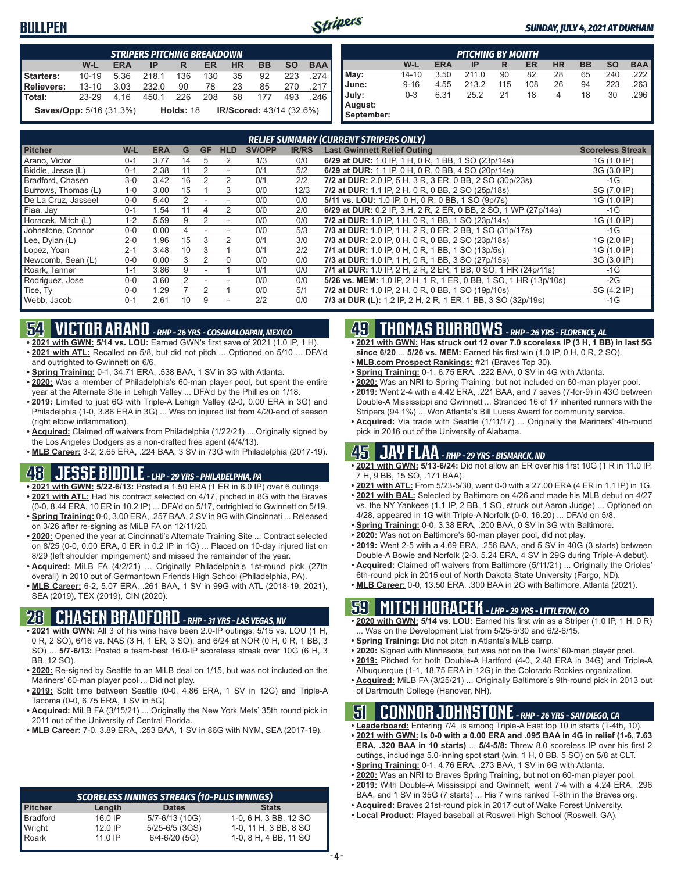#### **BULLPEN**



| <b>STRIPERS PITCHING BREAKDOWN</b>                                                      |           |      |       |           |     |    |                                 |     |      |  |  |  |
|-----------------------------------------------------------------------------------------|-----------|------|-------|-----------|-----|----|---------------------------------|-----|------|--|--|--|
| W-L<br><b>BAA</b><br><b>HR</b><br><b>SO</b><br><b>BB</b><br><b>ERA</b><br>ER<br>IP<br>R |           |      |       |           |     |    |                                 |     |      |  |  |  |
| Starters:                                                                               | $10 - 19$ | 5.36 | 218.1 | 136       | 130 | 35 | 92                              | 223 | .274 |  |  |  |
| <b>Relievers:</b>                                                                       | $13 - 10$ | 3.03 | 232.0 | 90        | 78  | 23 | 85                              | 270 | .217 |  |  |  |
| Total:                                                                                  | 23-29     | 4.16 | 450.1 | 226       | 208 | 58 | 177                             | 493 | .246 |  |  |  |
| Saves/Opp: 5/16 (31.3%)                                                                 |           |      |       | Holds: 18 |     |    | <b>IR/Scored: 43/14 (32.6%)</b> |     |      |  |  |  |

|            | <b>PITCHING BY MONTH</b> |            |       |     |     |           |           |           |            |  |  |  |  |  |
|------------|--------------------------|------------|-------|-----|-----|-----------|-----------|-----------|------------|--|--|--|--|--|
|            | W-L                      | <b>ERA</b> | IP    | R   | ER  | <b>HR</b> | <b>BB</b> | <b>SO</b> | <b>BAA</b> |  |  |  |  |  |
| May:       | $14 - 10$                | 3.50       | 211.0 | 90  | 82  | 28        | 65        | 240       | .222       |  |  |  |  |  |
| June:      | $9 - 16$                 | 4.55       | 213.2 | 115 | 108 | 26        | 94        | 223       | .263       |  |  |  |  |  |
| July:      | $0 - 3$                  | 6.31       | 25.2  | 21  | 18  | 4         | 18        | 30        | .296       |  |  |  |  |  |
| August:    |                          |            |       |     |     |           |           |           |            |  |  |  |  |  |
| September: |                          |            |       |     |     |           |           |           |            |  |  |  |  |  |

| <b>RELIEF SUMMARY (CURRENT STRIPERS ONLY)</b> |         |            |    |    |                          |               |              |                                                                  |                         |  |  |  |
|-----------------------------------------------|---------|------------|----|----|--------------------------|---------------|--------------|------------------------------------------------------------------|-------------------------|--|--|--|
| <b>Pitcher</b>                                | W-L     | <b>ERA</b> | G  | GF | <b>HLD</b>               | <b>SV/OPP</b> | <b>IR/RS</b> | <b>Last Gwinnett Relief Outing</b>                               | <b>Scoreless Streak</b> |  |  |  |
| Arano, Victor                                 | $0 - 1$ | 3.77       | 14 | 5  | 2                        | 1/3           | 0/0          | 6/29 at DUR: 1.0 IP, 1 H, 0 R, 1 BB, 1 SO (23p/14s)              | 1G (1.0 IP)             |  |  |  |
| Biddle, Jesse (L)                             | $0 - 1$ | 2.38       |    | 2  | $\overline{\phantom{a}}$ | 0/1           | 5/2          | 6/29 at DUR: 1.1 IP, 0 H, 0 R, 0 BB, 4 SO (20p/14s)              | 3G (3.0 IP)             |  |  |  |
| Bradford, Chasen                              | $3-0$   | 3.42       | 16 |    | $\mathcal{P}$            | 0/1           | 2/2          | 7/2 at DUR: 2.0 IP, 5 H, 3 R, 3 ER, 0 BB, 2 SO (30p/23s)         | $-1G$                   |  |  |  |
| Burrows, Thomas (L)                           | $1 - 0$ | 3.00       | 15 |    | 3                        | 0/0           | 12/3         | 7/2 at DUR: 1.1 IP, 2 H, 0 R, 0 BB, 2 SO (25p/18s)               | 5G (7.0 IP)             |  |  |  |
| De La Cruz, Jasseel                           | $0 - 0$ | 5.40       | 2  |    |                          | 0/0           | 0/0          | 5/11 vs. LOU: 1.0 IP, 0 H, 0 R, 0 BB, 1 SO (9p/7s)               | 1G (1.0 IP)             |  |  |  |
| Flaa, Jay                                     | $0 - 1$ | 1.54       |    | 4  |                          | 0/0           | 2/0          | 6/29 at DUR: 0.2 IP, 3 H, 2 R, 2 ER, 0 BB, 2 SO, 1 WP (27p/14s)  | -1G                     |  |  |  |
| Horacek, Mitch (L)                            | $1 - 2$ | 5.59       | 9  | 2  |                          | 0/0           | 0/0          | 7/2 at DUR: 1.0 IP, 1 H, 0 R, 1 BB, 1 SO (23p/14s)               | 1G (1.0 IP)             |  |  |  |
| Johnstone, Connor                             | $0 - 0$ | 0.00       | 4  |    |                          | 0/0           | 5/3          | 7/3 at DUR: 1.0 IP, 1 H, 2 R, 0 ER, 2 BB, 1 SO (31p/17s)         | $-1G$                   |  |  |  |
| Lee, Dylan (L)                                | $2 - 0$ | 1.96       | 15 | 3  | 2                        | 0/1           | 3/0          | 7/3 at DUR: 2.0 IP, 0 H, 0 R, 0 BB, 2 SO (23p/18s)               | 1G (2.0 IP)             |  |  |  |
| Lopez, Yoan                                   | $2 - 1$ | 3.48       | 10 | 3  |                          | 0/1           | 2/2          | 7/1 at DUR: 1.0 IP, 0 H, 0 R, 1 BB, 1 SO (13p/5s)                | 1G (1.0 IP)             |  |  |  |
| Newcomb, Sean (L)                             | $0 - 0$ | 0.00       | 3  |    | $\Omega$                 | 0/0           | 0/0          | 7/3 at DUR: 1.0 IP, 1 H, 0 R, 1 BB, 3 SO (27p/15s)               | 3G (3.0 IP)             |  |  |  |
| Roark, Tanner                                 | $1 - 1$ | 3.86       | 9  |    |                          | 0/1           | 0/0          | 7/1 at DUR: 1.0 IP, 2 H, 2 R, 2 ER, 1 BB, 0 SO, 1 HR (24p/11s)   | $-1G$                   |  |  |  |
| Rodriguez, Jose                               | $0 - 0$ | 3.60       |    |    |                          | 0/0           | 0/0          | 5/26 vs. MEM: 1.0 IP, 2 H, 1 R, 1 ER, 0 BB, 1 SO, 1 HR (13p/10s) | $-2G$                   |  |  |  |
| Tice, Ty                                      | $0 - 0$ | 1.29       |    |    |                          | 0/0           | 5/1          | 7/2 at DUR: 1.0 IP, 2 H, 0 R, 0 BB, 1 SO (19p/10s)               | 5G (4.2 IP)             |  |  |  |
| Webb, Jacob                                   | $0 - 1$ | 2.61       | 10 | 9  | $\overline{\phantom{a}}$ | 2/2           | 0/0          | 7/3 at DUR (L): 1.2 IP, 2 H, 2 R, 1 ER, 1 BB, 3 SO (32p/19s)     | $-1G$                   |  |  |  |

### **54 VICTOR ARANO** *- RHP - 26 YRS - COSAMALOAPAN, MEXICO*

- **• 2021 with GWN: 5/14 vs. LOU:** Earned GWN's first save of 2021 (1.0 IP, 1 H). **• 2021 with ATL:** Recalled on 5/8, but did not pitch ... Optioned on 5/10 ... DFA'd and outrighted to Gwinnett on 6/6.
- **• Spring Training:** 0-1, 34.71 ERA, .538 BAA, 1 SV in 3G with Atlanta.
- **• 2020:** Was a member of Philadelphia's 60-man player pool, but spent the entire year at the Alternate Site in Lehigh Valley ... DFA'd by the Phillies on 1/18.
- **• 2019:** Limited to just 6G with Triple-A Lehigh Valley (2-0, 0.00 ERA in 3G) and Philadelphia (1-0, 3.86 ERA in 3G) ... Was on injured list from 4/20-end of season (right elbow inflammation).
- **• Acquired:** Claimed off waivers from Philadelphia (1/22/21) ... Originally signed by the Los Angeles Dodgers as a non-drafted free agent (4/4/13).

**• MLB Career:** 3-2, 2.65 ERA, .224 BAA, 3 SV in 73G with Philadelphia (2017-19).

# **48 JESSE BIDDLE** *- LHP - 29 YRS - PHILADELPHIA, PA*

**• 2021 with GWN: 5/22-6/13:** Posted a 1.50 ERA (1 ER in 6.0 IP) over 6 outings.

- **• 2021 with ATL:** Had his contract selected on 4/17, pitched in 8G with the Braves (0-0, 8.44 ERA, 10 ER in 10.2 IP) ... DFA'd on 5/17, outrighted to Gwinnett on 5/19.
- **• Spring Training:** 0-0, 3.00 ERA, .257 BAA, 2 SV in 9G with Cincinnati ... Released on 3/26 after re-signing as MiLB FA on 12/11/20.
- **• 2020:** Opened the year at Cincinnati's Alternate Training Site ... Contract selected on 8/25 (0-0, 0.00 ERA, 0 ER in 0.2 IP in 1G) ... Placed on 10-day injured list on 8/29 (left shoulder impingement) and missed the remainder of the year.
- **• Acquired:** MiLB FA (4/2/21) ... Originally Philadelphia's 1st-round pick (27th overall) in 2010 out of Germantown Friends High School (Philadelphia, PA).
- **• MLB Career:** 6-2, 5.07 ERA, .261 BAA, 1 SV in 99G with ATL (2018-19, 2021), SEA (2019), TEX (2019), CIN (2020).

### **28 CHASEN BRADFORD** *- RHP - 31 YRS - LAS VEGAS, NV*

- **• 2021 with GWN:** All 3 of his wins have been 2.0-IP outings: 5/15 vs. LOU (1 H, 0 R, 2 SO), 6/16 vs. NAS (3 H, 1 ER, 3 SO), and 6/24 at NOR (0 H, 0 R, 1 BB, 3 SO) ... **5/7-6/13:** Posted a team-best 16.0-IP scoreless streak over 10G (6 H, 3 BB, 12 SO).
- **• 2020:** Re-signed by Seattle to an MiLB deal on 1/15, but was not included on the Mariners' 60-man player pool ... Did not play.
- **• 2019:** Split time between Seattle (0-0, 4.86 ERA, 1 SV in 12G) and Triple-A Tacoma (0-0, 6.75 ERA, 1 SV in 5G).
- **• Acquired:** MiLB FA (3/15/21) ... Originally the New York Mets' 35th round pick in 2011 out of the University of Central Florida.
- **• MLB Career:** 7-0, 3.89 ERA, .253 BAA, 1 SV in 86G with NYM, SEA (2017-19).

#### *SCORELESS INNINGS STREAKS (10-PLUS INNINGS)*

| Length    | <b>Dates</b>       | <b>Stats</b>          |
|-----------|--------------------|-----------------------|
| 16.0 IP   | 5/7-6/13 (10G)     | 1-0, 6 H, 3 BB, 12 SO |
| $12.0$ IP | $5/25 - 6/5$ (3GS) | 1-0, 11 H, 3 BB, 8 SO |
| 11 0 IP   | $6/4 - 6/20$ (5G)  | 1-0, 8 H, 4 BB, 11 SO |
|           |                    |                       |

# **49 THOMAS BURROWS** *- RHP - 26 YRS - FLORENCE, AL*

- **• 2021 with GWN: Has struck out 12 over 7.0 scoreless IP (3 H, 1 BB) in last 5G since 6/20** ... **5/26 vs. MEM:** Earned his first win (1.0 IP, 0 H, 0 R, 2 SO).
- **• MLB.com Prospect Rankings:** #21 (Braves Top 30).
- **• Spring Training:** 0-1, 6.75 ERA, .222 BAA, 0 SV in 4G with Atlanta.
- **• 2020:** Was an NRI to Spring Training, but not included on 60-man player pool.
- **• 2019:** Went 2-4 with a 4.42 ERA, .221 BAA, and 7 saves (7-for-9) in 43G between Double-A Mississippi and Gwinnett ... Stranded 16 of 17 inherited runners with the Stripers (94.1%) ... Won Atlanta's Bill Lucas Award for community service.
- **• Acquired:** Via trade with Seattle (1/11/17) ... Originally the Mariners' 4th-round pick in 2016 out of the University of Alabama.

### **45 JAY FLAA** *- RHP - 29 YRS - BISMARCK, ND*

- **• 2021 with GWN: 5/13-6/24:** Did not allow an ER over his first 10G (1 R in 11.0 IP, 7 H, 9 BB, 15 SO, .171 BAA).
- **• 2021 with ATL:** From 5/23-5/30, went 0-0 with a 27.00 ERA (4 ER in 1.1 IP) in 1G. **• 2021 with BAL:** Selected by Baltimore on 4/26 and made his MLB debut on 4/27
- vs. the NY Yankees (1.1 IP, 2 BB, 1 SO, struck out Aaron Judge) ... Optioned on 4/28, appeared in 1G with Triple-A Norfolk (0-0, 16.20) ... DFA'd on 5/8.
- **• Spring Training:** 0-0, 3.38 ERA, .200 BAA, 0 SV in 3G with Baltimore.
- **• 2020:** Was not on Baltimore's 60-man player pool, did not play.
- **• 2019:** Went 2-5 with a 4.69 ERA, .256 BAA, and 5 SV in 40G (3 starts) between Double-A Bowie and Norfolk (2-3, 5.24 ERA, 4 SV in 29G during Triple-A debut).
- **• Acquired:** Claimed off waivers from Baltimore (5/11/21) ... Originally the Orioles' 6th-round pick in 2015 out of North Dakota State University (Fargo, ND).
- **• MLB Career:** 0-0, 13.50 ERA, .300 BAA in 2G with Baltimore, Atlanta (2021).

### **59 MITCH HORACEK** *- LHP - 29 YRS - LITTLETON, CO*

- **• 2020 with GWN: 5/14 vs. LOU:** Earned his first win as a Striper (1.0 IP, 1 H, 0 R) ... Was on the Development List from 5/25-5/30 and 6/2-6/15.
- **• Spring Training:** Did not pitch in Atlanta's MLB camp.
- **• 2020:** Signed with Minnesota, but was not on the Twins' 60-man player pool. **• 2019:** Pitched for both Double-A Hartford (4-0, 2.48 ERA in 34G) and Triple-A
- Albuquerque (1-1, 18.75 ERA in 12G) in the Colorado Rockies organization. **• Acquired:** MiLB FA (3/25/21) ... Originally Baltimore's 9th-round pick in 2013 out
- of Dartmouth College (Hanover, NH).

#### **51 CONNOR JOHNSTONE** *- RHP - 26 YRS - SAN DIEGO, CA*

- **• Leaderboard:** Entering 7/4, is among Triple-A East top 10 in starts (T-4th, 10).
- **• 2021 with GWN: Is 0-0 with a 0.00 ERA and .095 BAA in 4G in relief (1-6, 7.63 ERA, .320 BAA in 10 starts)** ... **5/4-5/8:** Threw 8.0 scoreless IP over his first 2 outings, includinga 5.0-inning spot start (win, 1 H, 0 BB, 5 SO) on 5/8 at CLT.
- **• Spring Training:** 0-1, 4.76 ERA, .273 BAA, 1 SV in 6G with Atlanta.
- **• 2020:** Was an NRI to Braves Spring Training, but not on 60-man player pool. **• 2019:** With Double-A Mississippi and Gwinnett, went 7-4 with a 4.24 ERA, .296
- BAA, and 1 SV in 35G (7 starts) ... His 7 wins ranked T-8th in the Braves org.
- **• Acquired:** Braves 21st-round pick in 2017 out of Wake Forest University.
- **• Local Product:** Played baseball at Roswell High School (Roswell, GA).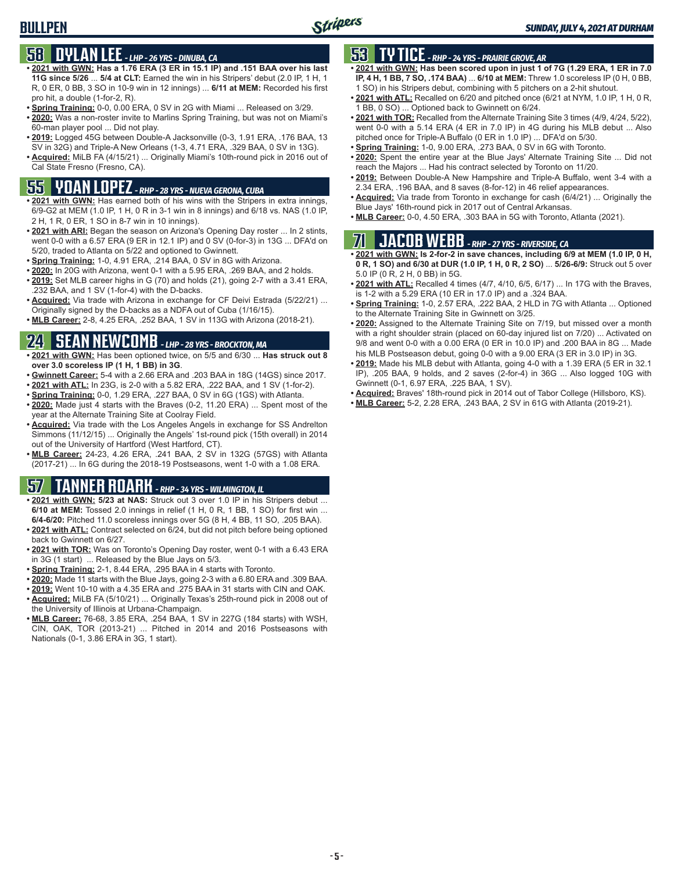# **58 DYLAN LEE** *- LHP - 26 YRS - DINUBA, CA*

- **• 2021 with GWN: Has a 1.76 ERA (3 ER in 15.1 IP) and .151 BAA over his last 11G since 5/26** ... **5/4 at CLT:** Earned the win in his Stripers' debut (2.0 IP, 1 H, 1 R, 0 ER, 0 BB, 3 SO in 10-9 win in 12 innings) ... **6/11 at MEM:** Recorded his first pro hit, a double (1-for-2, R).
- **• Spring Training:** 0-0, 0.00 ERA, 0 SV in 2G with Miami ... Released on 3/29.
- **• 2020:** Was a non-roster invite to Marlins Spring Training, but was not on Miami's 60-man player pool ... Did not play.
- **• 2019:** Logged 45G between Double-A Jacksonville (0-3, 1.91 ERA, .176 BAA, 13 SV in 32G) and Triple-A New Orleans (1-3, 4.71 ERA, .329 BAA, 0 SV in 13G).
- **• Acquired:** MiLB FA (4/15/21) ... Originally Miami's 10th-round pick in 2016 out of Cal State Fresno (Fresno, CA).

# **55 YOAN LOPEZ** *- RHP - 28 YRS - NUEVA GERONA, CUBA*

- **• 2021 with GWN:** Has earned both of his wins with the Stripers in extra innings, 6/9-G2 at MEM (1.0 IP, 1 H, 0 R in 3-1 win in 8 innings) and 6/18 vs. NAS (1.0 IP, 2 H, 1 R, 0 ER, 1 SO in 8-7 win in 10 innings).
- **• 2021 with ARI:** Began the season on Arizona's Opening Day roster ... In 2 stints, went 0-0 with a 6.57 ERA (9 ER in 12.1 IP) and 0 SV (0-for-3) in 13G ... DFA'd on 5/20, traded to Atlanta on 5/22 and optioned to Gwinnett.
- **• Spring Training:** 1-0, 4.91 ERA, .214 BAA, 0 SV in 8G with Arizona.
- **• 2020:** In 20G with Arizona, went 0-1 with a 5.95 ERA, .269 BAA, and 2 holds.
- **• 2019:** Set MLB career highs in G (70) and holds (21), going 2-7 with a 3.41 ERA, .232 BAA, and 1 SV (1-for-4) with the D-backs.
- **• Acquired:** Via trade with Arizona in exchange for CF Deivi Estrada (5/22/21) ... Originally signed by the D-backs as a NDFA out of Cuba (1/16/15).
- **• MLB Career:** 2-8, 4.25 ERA, .252 BAA, 1 SV in 113G with Arizona (2018-21).

# **24 SEAN NEWCOMB** *- LHP - 28 YRS - BROCKTON, MA*

- **• 2021 with GWN:** Has been optioned twice, on 5/5 and 6/30 ... **Has struck out 8 over 3.0 scoreless IP (1 H, 1 BB) in 3G**.
- **• Gwinnett Career:** 5-4 with a 2.66 ERA and .203 BAA in 18G (14GS) since 2017.
- **• 2021 with ATL:** In 23G, is 2-0 with a 5.82 ERA, .222 BAA, and 1 SV (1-for-2).
- **• Spring Training:** 0-0, 1.29 ERA, .227 BAA, 0 SV in 6G (1GS) with Atlanta.
- **• 2020:** Made just 4 starts with the Braves (0-2, 11.20 ERA) ... Spent most of the year at the Alternate Training Site at Coolray Field.
- **• Acquired:** Via trade with the Los Angeles Angels in exchange for SS Andrelton Simmons (11/12/15) ... Originally the Angels' 1st-round pick (15th overall) in 2014 out of the University of Hartford (West Hartford, CT).
- **• MLB Career:** 24-23, 4.26 ERA, .241 BAA, 2 SV in 132G (57GS) with Atlanta (2017-21) ... In 6G during the 2018-19 Postseasons, went 1-0 with a 1.08 ERA.

# **57 TANNER ROARK** *- RHP - 34 YRS - WILMINGTON, IL*

- **• 2021 with GWN: 5/23 at NAS:** Struck out 3 over 1.0 IP in his Stripers debut ... **6/10 at MEM:** Tossed 2.0 innings in relief (1 H, 0 R, 1 BB, 1 SO) for first win ... **6/4-6/20:** Pitched 11.0 scoreless innings over 5G (8 H, 4 BB, 11 SO, .205 BAA).
- **• 2021 with ATL:** Contract selected on 6/24, but did not pitch before being optioned back to Gwinnett on 6/27.
- **• 2021 with TOR:** Was on Toronto's Opening Day roster, went 0-1 with a 6.43 ERA in 3G (1 start) ... Released by the Blue Jays on 5/3.
- **• Spring Training:** 2-1, 8.44 ERA, .295 BAA in 4 starts with Toronto.
- **• 2020:** Made 11 starts with the Blue Jays, going 2-3 with a 6.80 ERA and .309 BAA.
- **• 2019:** Went 10-10 with a 4.35 ERA and .275 BAA in 31 starts with CIN and OAK.
- **• Acquired:** MiLB FA (5/10/21) ... Originally Texas's 25th-round pick in 2008 out of the University of Illinois at Urbana-Champaign.
- **• MLB Career:** 76-68, 3.85 ERA, .254 BAA, 1 SV in 227G (184 starts) with WSH, CIN, OAK, TOR (2013-21) ... Pitched in 2014 and 2016 Postseasons with Nationals (0-1, 3.86 ERA in 3G, 1 start).

# **53 TY TICE** *- RHP - 24 YRS - PRAIRIE GROVE, AR*

- **• 2021 with GWN: Has been scored upon in just 1 of 7G (1.29 ERA, 1 ER in 7.0 IP, 4 H, 1 BB, 7 SO, .174 BAA)** ... **6/10 at MEM:** Threw 1.0 scoreless IP (0 H, 0 BB, 1 SO) in his Stripers debut, combining with 5 pitchers on a 2-hit shutout.
- **• 2021 with ATL:** Recalled on 6/20 and pitched once (6/21 at NYM, 1.0 IP, 1 H, 0 R, 1 BB, 0 SO) ... Optioned back to Gwinnett on 6/24.
- **• 2021 with TOR:** Recalled from the Alternate Training Site 3 times (4/9, 4/24, 5/22), went 0-0 with a 5.14 ERA (4 ER in 7.0 IP) in 4G during his MLB debut ... Also pitched once for Triple-A Buffalo (0 ER in 1.0 IP) ... DFA'd on 5/30.
- **• Spring Training:** 1-0, 9.00 ERA, .273 BAA, 0 SV in 6G with Toronto.
- **• 2020:** Spent the entire year at the Blue Jays' Alternate Training Site ... Did not reach the Majors ... Had his contract selected by Toronto on 11/20.
- **• 2019:** Between Double-A New Hampshire and Triple-A Buffalo, went 3-4 with a 2.34 ERA, .196 BAA, and 8 saves (8-for-12) in 46 relief appearances.
- **• Acquired:** Via trade from Toronto in exchange for cash (6/4/21) ... Originally the Blue Jays' 16th-round pick in 2017 out of Central Arkansas.
- **• MLB Career:** 0-0, 4.50 ERA, .303 BAA in 5G with Toronto, Atlanta (2021).

# **71 JACOB WEBB** *- RHP - 27 YRS - RIVERSIDE, CA*

- **• 2021 with GWN: Is 2-for-2 in save chances, including 6/9 at MEM (1.0 IP, 0 H, 0 R, 1 SO) and 6/30 at DUR (1.0 IP, 1 H, 0 R, 2 SO)** ... **5/26-6/9:** Struck out 5 over 5.0 IP (0 R, 2 H, 0 BB) in 5G.
- **• 2021 with ATL:** Recalled 4 times (4/7, 4/10, 6/5, 6/17) ... In 17G with the Braves, is 1-2 with a 5.29 ERA (10 ER in 17.0 IP) and a .324 BAA.
- **• Spring Training:** 1-0, 2.57 ERA, .222 BAA, 2 HLD in 7G with Atlanta ... Optioned to the Alternate Training Site in Gwinnett on 3/25.
- **• 2020:** Assigned to the Alternate Training Site on 7/19, but missed over a month with a right shoulder strain (placed on 60-day injured list on 7/20) ... Activated on 9/8 and went 0-0 with a 0.00 ERA (0 ER in 10.0 IP) and .200 BAA in 8G ... Made his MLB Postseason debut, going 0-0 with a 9.00 ERA (3 ER in 3.0 IP) in 3G.
- **• 2019:** Made his MLB debut with Atlanta, going 4-0 with a 1.39 ERA (5 ER in 32.1 IP), .205 BAA, 9 holds, and 2 saves (2-for-4) in 36G ... Also logged 10G with Gwinnett (0-1, 6.97 ERA, .225 BAA, 1 SV).
- **• Acquired:** Braves' 18th-round pick in 2014 out of Tabor College (Hillsboro, KS).
- **• MLB Career:** 5-2, 2.28 ERA, .243 BAA, 2 SV in 61G with Atlanta (2019-21).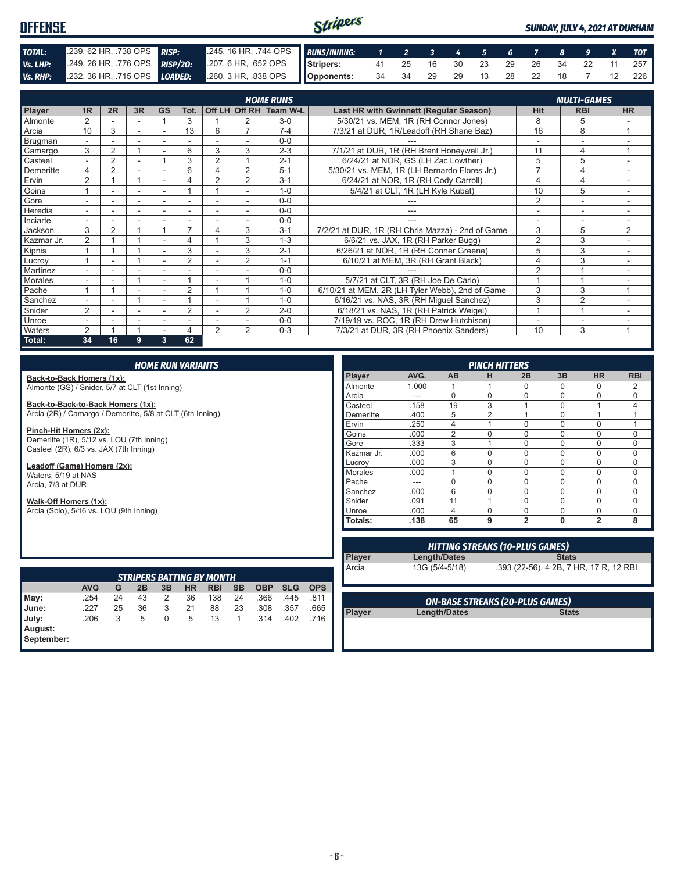#### Stripers **OFFENSE** *SUNDAY, JULY 4, 2021 AT DURHAM TOTAL:* .239, 62 HR, .738 OPS *RISP:* .245, 16 HR, .744 OPS *RUNS/INNING: 1 2 3 4 5 6 7 8 9 X TOT Vs. LHP:* .249, 26 HR, .776 OPS *RISP/2O:* .207, 6 HR, .652 OPS **Stripers:** 41 25 16 30 23 29 26 34 22 11 257 *Vs. RHP:* .232, 36 HR, .715 OPS *LOADED:* .260, 3 HR, .838 OPS **Opponents:** 34 34 29 29 13 28 22 18 7 12 226

|                |                |                |    |                          |                |                |                | <b>HOME RUNS</b>       |                                                  |                | <b>MULTI-GAMES</b>       |                |  |
|----------------|----------------|----------------|----|--------------------------|----------------|----------------|----------------|------------------------|--------------------------------------------------|----------------|--------------------------|----------------|--|
| Player         | 1 <sub>R</sub> | 2R             | 3R | <b>GS</b>                | Tot.           |                |                | Off LH Off RH Team W-L | Last HR with Gwinnett (Regular Season)           | <b>Hit</b>     | <b>RBI</b>               | <b>HR</b>      |  |
| <b>Almonte</b> |                |                |    |                          | 3              |                |                | $3-0$                  | 5/30/21 vs. MEM, 1R (RH Connor Jones)            | 8              | 5                        |                |  |
| Arcia          | 10             | 3              |    |                          | 13             | 6              | $\overline{7}$ | $7 - 4$                | 7/3/21 at DUR, 1R/Leadoff (RH Shane Baz)         | 16             | 8                        |                |  |
| Brugman        | $\overline{a}$ |                |    |                          |                |                |                | $0 - 0$                |                                                  |                |                          |                |  |
| Camargo        | 3              | $\overline{2}$ |    | $\overline{\phantom{0}}$ | 6              | 3              | 3              | $2 - 3$                | 7/1/21 at DUR, 1R (RH Brent Honeywell Jr.)       | 11             | 4                        | $\overline{ }$ |  |
| Casteel        | $\overline{a}$ | 2              |    |                          | 3              | $\overline{2}$ |                | $2 - 1$                | 6/24/21 at NOR. GS (LH Zac Lowther)              | 5              | 5                        |                |  |
| Demeritte      | 4              | $\overline{2}$ |    |                          | 6              |                | $\overline{2}$ | $5 - 1$                | 5/30/21 vs. MEM, 1R (LH Bernardo Flores Jr.)     |                | 4                        |                |  |
| Ervin          | 2              |                |    | $\overline{\phantom{0}}$ |                | $\overline{2}$ | 2              | $3 - 1$                | 6/24/21 at NOR, 1R (RH Cody Carroll)             | 4              | 4                        | ٠              |  |
| Goins          |                | ٠              | ۰  | $\sim$                   |                |                | $\sim$         | $1 - \Omega$           | 5/4/21 at CLT, 1R (LH Kyle Kubat)                | 10             | 5                        | ۰              |  |
| Gore           |                |                |    |                          |                |                |                | $0 - 0$                |                                                  | 2              | $\overline{\phantom{a}}$ |                |  |
| Heredia        |                |                |    |                          |                |                |                | $0 - 0$                |                                                  |                |                          |                |  |
| Inciarte       |                |                |    |                          |                |                |                | $0 - 0$                |                                                  |                |                          |                |  |
| Jackson        | 3              | 2              |    |                          | $\overline{ }$ | 4              | 3              | $3 - 1$                | 7/2/21 at DUR, 1R (RH Chris Mazza) - 2nd of Game | 3              | 5                        | 2              |  |
| Kazmar Jr.     | 2              |                |    | $\overline{\phantom{0}}$ | 4              |                | 3              | $1 - 3$                | 6/6/21 vs. JAX, 1R (RH Parker Bugg)              | $\overline{2}$ | 3                        |                |  |
| Kipnis         |                |                |    |                          | 3              |                | 3              | $2 - 1$                | 6/26/21 at NOR, 1R (RH Conner Greene)            | 5              | 3                        |                |  |
| Lucroy         |                | ٠              |    | $\overline{\phantom{a}}$ | $\overline{2}$ |                | $\overline{2}$ | $1 - 1$                | 6/10/21 at MEM, 3R (RH Grant Black)              | 4              | 3                        | $\sim$         |  |
| Martinez       | ۰.             |                |    | $\overline{\phantom{a}}$ |                |                |                | $0 - 0$                |                                                  | $\mathfrak{p}$ |                          |                |  |
| Morales        |                |                |    | $\overline{\phantom{a}}$ |                |                |                | $1 - 0$                | 5/7/21 at CLT, 3R (RH Joe De Carlo)              |                |                          |                |  |
| Pache          |                |                |    |                          | $\overline{2}$ |                |                | $1 - 0$                | 6/10/21 at MEM, 2R (LH Tyler Webb), 2nd of Game  | 3              | 3                        |                |  |
| Sanchez        |                |                |    |                          |                |                |                | $1 - 0$                | 6/16/21 vs. NAS, 3R (RH Miguel Sanchez)          | 3              | 2                        |                |  |
| Snider         | 2              |                |    |                          | $\overline{2}$ |                | $\overline{2}$ | $2 - 0$                | 6/18/21 vs. NAS, 1R (RH Patrick Weigel)          |                | $\overline{A}$           |                |  |
| <b>Unroe</b>   |                |                | ۰  | ٠                        | ٠              |                |                | $0 - 0$                | 7/19/19 vs. ROC, 1R (RH Drew Hutchison)          |                | ۰                        |                |  |
| <b>Waters</b>  | 2              |                |    |                          | 4              | 2              | 2              | $0 - 3$                | 7/3/21 at DUR, 3R (RH Phoenix Sanders)           | 10             | 3                        | $\overline{ }$ |  |
| Total:         | 34             | 16             | 9  | 3                        | 62             |                |                |                        |                                                  |                |                          |                |  |

#### *HOME RUN VARIANTS*

**Back-to-Back Homers (1x):** Almonte (GS) / Snider, 5/7 at CLT (1st Inning)

**Back-to-Back-to-Back Homers (1x):** Arcia (2R) / Camargo / Demeritte, 5/8 at CLT (6th Inning)

**Pinch-Hit Homers (2x):** Demeritte (1R), 5/12 vs. LOU (7th Inning) Casteel (2R), 6/3 vs. JAX (7th Inning)

**Leadoff (Game) Homers (2x):** Waters, 5/19 at NAS Arcia, 7/3 at DUR

**Walk-Off Homers (1x):** Arcia (Solo), 5/16 vs. LOU (9th Inning)

|                |       |                |                | <b>PINCH HITTERS</b> |          |                |            |  |  |  |  |  |  |  |  |  |  |
|----------------|-------|----------------|----------------|----------------------|----------|----------------|------------|--|--|--|--|--|--|--|--|--|--|
| <b>Player</b>  | AVG.  | AB             | н              | 2B                   | 3B       | <b>HR</b>      | <b>RBI</b> |  |  |  |  |  |  |  |  |  |  |
| Almonte        | 1.000 |                |                | 0                    | U        | 0              | 2          |  |  |  |  |  |  |  |  |  |  |
| Arcia          | ---   | $\Omega$       | 0              | 0                    | O        | $\Omega$       | $\Omega$   |  |  |  |  |  |  |  |  |  |  |
| Casteel        | .158  | 19             | 3              | 1                    | 0        | 1              | 4          |  |  |  |  |  |  |  |  |  |  |
| Demeritte      | .400  | 5              | $\overline{2}$ | 1                    | 0        | 1              | 1          |  |  |  |  |  |  |  |  |  |  |
| Ervin          | .250  | 4              | 4              | $\Omega$             | 0        | $\Omega$       | 1          |  |  |  |  |  |  |  |  |  |  |
| Goins          | .000  | $\overline{2}$ | $\mathbf 0$    | $\Omega$             | $\Omega$ | $\mathbf 0$    | $\Omega$   |  |  |  |  |  |  |  |  |  |  |
| Gore           | .333  | 3              | 4              | $\Omega$             | $\Omega$ | $\Omega$       | $\Omega$   |  |  |  |  |  |  |  |  |  |  |
| Kazmar Jr.     | .000  | 6              | $\Omega$       | $\Omega$             | $\Omega$ | $\Omega$       | $\Omega$   |  |  |  |  |  |  |  |  |  |  |
| Lucrov         | .000  | 3              | $\Omega$       | $\Omega$             | 0        | $\Omega$       | $\Omega$   |  |  |  |  |  |  |  |  |  |  |
| <b>Morales</b> | .000  |                | $\Omega$       | $\Omega$             | 0        | $\Omega$       | $\Omega$   |  |  |  |  |  |  |  |  |  |  |
| Pache          |       | $\Omega$       | $\Omega$       | $\Omega$             | 0        | $\Omega$       | $\Omega$   |  |  |  |  |  |  |  |  |  |  |
| Sanchez        | .000  | 6              | $\mathbf 0$    | $\Omega$             | 0        | 0              | $\Omega$   |  |  |  |  |  |  |  |  |  |  |
| Snider         | .091  | 11             | 1              | $\Omega$             | 0        | $\Omega$       | 0          |  |  |  |  |  |  |  |  |  |  |
| Unroe          | .000  | 4              | $\Omega$       | $\Omega$             | U        | $\mathbf 0$    | 0          |  |  |  |  |  |  |  |  |  |  |
| Totals:        | .138  | 65             | 9              | $\overline{2}$       | 0        | $\overline{2}$ | 8          |  |  |  |  |  |  |  |  |  |  |

| <b>STRIPERS BATTING BY MONTH</b> |            |    |    |    |    |            |           |            |            |            |
|----------------------------------|------------|----|----|----|----|------------|-----------|------------|------------|------------|
|                                  | <b>AVG</b> | G  | 2B | 3B | ΗR | <b>RBI</b> | <b>SB</b> | <b>OBP</b> | <b>SLG</b> | <b>OPS</b> |
| May:                             | .254       | 24 | 43 | 2  | 36 | 138        | 24        | .366       | .445       | .811       |
| June:                            | .227       | 25 | 36 | 3  | 21 | 88         | 23        | .308       | .357       | .665       |
| July:                            | .206       | 3  | 5  | 0  | 5  | 13         |           | .314       | .402       | .716       |
| August:                          |            |    |    |    |    |            |           |            |            |            |
| September:                       |            |    |    |    |    |            |           |            |            |            |

| <b>HITTING STREAKS (10-PLUS GAMES)</b>    |                |                                        |  |  |
|-------------------------------------------|----------------|----------------------------------------|--|--|
| <b>Player</b>                             | Length/Dates   | <b>Stats</b>                           |  |  |
| Arcia                                     | 13G (5/4-5/18) | .393 (22-56), 4 2B, 7 HR, 17 R, 12 RBI |  |  |
|                                           |                |                                        |  |  |
| $\alpha$ u base streaus (ss. bulls saurs) |                |                                        |  |  |

**Player Length/Dates** 

*ON-BASE STREAKS (20-PLUS GAMES)*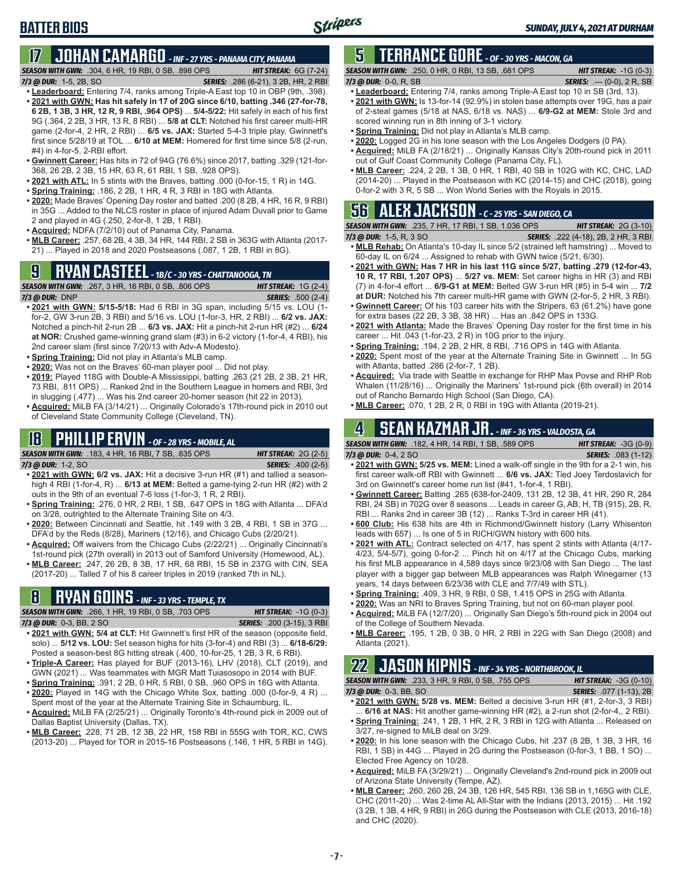# **17 JOHAN CAMARGO** *- INF - 27 YRS - PANAMA CITY, PANAMA*

*SEASON WITH GWN:*.304, 6 HR, 19 RBI, 0 SB, .898 OPS *HIT STREAK:* 6G (7-24) *SERIES: .286 (6-21), 3 2B, HR, 2 RBI* 

- **• Leaderboard:** Entering 7/4, ranks among Triple-A East top 10 in OBP (9th, .398). **• 2021 with GWN: Has hit safely in 17 of 20G since 6/10, batting .346 (27-for-78, 6 2B, 1 3B, 3 HR, 12 R, 9 RBI, .964 OPS)** ... **5/4-5/22:** Hit safely in each of his first 9G (.364, 2 2B, 3 HR, 13 R, 8 RBI) ... **5/8 at CLT:** Notched his first career multi-HR game (2-for-4, 2 HR, 2 RBI) ... **6/5 vs. JAX:** Started 5-4-3 triple play, Gwinnett's first since 5/28/19 at TOL ... **6/10 at MEM:** Homered for first time since 5/8 (2-run, #4) in 4-for-5, 2-RBI effort.
- **• Gwinnett Career:** Has hits in 72 of 94G (76.6%) since 2017, batting .329 (121-for-368, 26 2B, 2 3B, 15 HR, 63 R, 61 RBI, 1 SB, .928 OPS).
- **• 2021 with ATL:** In 5 stints with the Braves, batting .000 (0-for-15, 1 R) in 14G.
- **• Spring Training:** .186, 2 2B, 1 HR, 4 R, 3 RBI in 18G with Atlanta.
- **• 2020:** Made Braves' Opening Day roster and batted .200 (8 2B, 4 HR, 16 R, 9 RBI) in 35G ... Added to the NLCS roster in place of injured Adam Duvall prior to Game 2 and played in 4G (.250, 2-for-8, 1 2B, 1 RBI).
- **• Acquired:** NDFA (7/2/10) out of Panama City, Panama.
- **• MLB Career:** .257, 68 2B, 4 3B, 34 HR, 144 RBI, 2 SB in 363G with Atlanta (2017- 21) ... Played in 2018 and 2020 Postseasons (.087, 1 2B, 1 RBI in 8G).

# **9 RYAN CASTEEL** *- 1B/C - 30 YRS - CHATTANOOGA, TN*

**BATTER BIOS**

- *SEASON WITH GWN:*.267, 3 HR, 16 RBI, 0 SB, .806 OPS *HIT STREAK:* 1G (2-4) *7/3 @ DUR:*DNP *SERIES:* .500 (2-4)
- **• 2021 with GWN: 5/15-5/18:** Had 6 RBI in 3G span, including 5/15 vs. LOU (1 for-2, GW 3-run 2B, 3 RBI) and 5/16 vs. LOU (1-for-3, HR, 2 RBI) ... **6/2 vs. JAX:** Notched a pinch-hit 2-run 2B ... **6/3 vs. JAX:** Hit a pinch-hit 2-run HR (#2) ... **6/24 at NOR:** Crushed game-winning grand slam (#3) in 6-2 victory (1-for-4, 4 RBI), his 2nd career slam (first since 7/20/13 with Adv-A Modesto).
- **• Spring Training:** Did not play in Atlanta's MLB camp.
- **• 2020:** Was not on the Braves' 60-man player pool ... Did not play.
- **• 2019:** Played 118G with Double-A Mississippi, batting .263 (21 2B, 2 3B, 21 HR, 73 RBI, .811 OPS) ... Ranked 2nd in the Southern League in homers and RBI, 3rd in slugging (.477) ... Was his 2nd career 20-homer season (hit 22 in 2013).
- **• Acquired:** MiLB FA (3/14/21) ... Originally Colorado's 17th-round pick in 2010 out of Cleveland State Community College (Cleveland, TN).

#### **18 PHILLIP ERVIN** *- OF - 28 YRS - MOBILE, AL*

*SEASON WITH GWN:*.183, 4 HR, 16 RBI, 7 SB, .635 OPS *HIT STREAK:* 2G (2-5) *7/3 @ DUR:*1-2, SO *SERIES:* .400 (2-5)

- **• 2021 with GWN: 6/2 vs. JAX:** Hit a decisive 3-run HR (#1) and tallied a seasonhigh 4 RBI (1-for-4, R) ... **6/13 at MEM:** Belted a game-tying 2-run HR (#2) with 2 outs in the 9th of an eventual 7-6 loss (1-for-3, 1 R, 2 RBI).
- **• Spring Training:** .276, 0 HR, 2 RBI, 1 SB, .647 OPS in 18G with Atlanta ... DFA'd on 3/28, outrighted to the Alternate Training Site on 4/3.
- **• 2020:** Between Cincinnati and Seattle, hit .149 with 3 2B, 4 RBI, 1 SB in 37G ... DFA'd by the Reds (8/28), Mariners (12/16), and Chicago Cubs (2/20/21).
- **• Acquired:** Off waivers from the Chicago Cubs (2/22/21) ... Originally Cincinnati's 1st-round pick (27th overall) in 2013 out of Samford University (Homewood, AL).
- **• MLB Career:** .247, 26 2B, 8 3B, 17 HR, 68 RBI, 15 SB in 237G with CIN, SEA (2017-20) ... Talled 7 of his 8 career triples in 2019 (ranked 7th in NL).

# **8 RYAN GOINS** *- INF - 33 YRS - TEMPLE, TX*

*SEASON WITH GWN:*.266, 1 HR, 19 RBI, 0 SB, .703 OPS *HIT STREAK:* -1G (0-3)

- *7/3 @ DUR:*0-3, BB, 2 SO *SERIES:* .200 (3-15), 3 RBI
- **• 2021 with GWN: 5/4 at CLT:** Hit Gwinnett's first HR of the season (opposite field, solo) ... **5/12 vs. LOU:** Set season highs for hits (3-for-4) and RBI (3) ... **6/18-6/29:** Posted a season-best 8G hitting streak (.400, 10-for-25, 1 2B, 3 R, 6 RBI).
- **• Triple-A Career:** Has played for BUF (2013-16), LHV (2018), CLT (2019), and GWN (2021) ... Was teammates with MGR Matt Tuiasosopo in 2014 with BUF. **• Spring Training:** .391, 2 2B, 0 HR, 5 RBI, 0 SB, .960 OPS in 16G with Atlanta.
- **• 2020:** Played in 14G with the Chicago White Sox, batting .000 (0-for-9, 4 R) ...
- Spent most of the year at the Alternate Training Site in Schaumburg, IL. **• Acquired:** MiLB FA (2/25/21) ... Originally Toronto's 4th-round pick in 2009 out of Dallas Baptist University (Dallas, TX).
- **• MLB Career:** .228, 71 2B, 12 3B, 22 HR, 158 RBI in 555G with TOR, KC, CWS (2013-20) ... Played for TOR in 2015-16 Postseasons (.146, 1 HR, 5 RBI in 14G).

### **5 TERRANCE GORE** *- OF - 30 YRS - MACON, GA*

*SEASON WITH GWN:*.250, 0 HR, 0 RBI, 13 SB, .681 OPS *HIT STREAK:* -1G (0-3) *7/3 @ DUR:*0-0, R, SB *SERIES:* .--- (0-0), 2 R, SB

- **• Leaderboard:** Entering 7/4, ranks among Triple-A East top 10 in SB (3rd, 13). **• 2021 with GWN:** Is 13-for-14 (92.9%) in stolen base attempts over 19G, has a pair of 2-steal games (5/18 at NAS, 6/18 vs. NAS) ... **6/9-G2 at MEM:** Stole 3rd and scored winning run in 8th inning of 3-1 victory.
- **• Spring Training:** Did not play in Atlanta's MLB camp.
- **• 2020:** Logged 2G in his lone season with the Los Angeles Dodgers (0 PA).
- **• Acquired:** MiLB FA (2/18/21) ... Originally Kansas City's 20th-round pick in 2011 out of Gulf Coast Community College (Panama City, FL).
- **• MLB Career:** .224, 2 2B, 1 3B, 0 HR, 1 RBI, 40 SB in 102G with KC, CHC, LAD (2014-20) ... Played in the Postseason with KC (2014-15) and CHC (2018), going 0-for-2 with 3 R, 5 SB ... Won World Series with the Royals in 2015.

# **56 ALEX JACKSON** *- C - 25 YRS - SAN DIEGO, CA*

*SEASON WITH GWN:*.235, 7 HR, 17 RBI, 1 SB, 1.036 OPS *HIT STREAK:* 2G (3-10)

- **• MLB Rehab:** On Atlanta's 10-day IL since 5/2 (strained left hamstring) ... Moved to 60-day IL on 6/24 ... Assigned to rehab with GWN twice (5/21, 6/30).
- **• 2021 with GWN: Has 7 HR in his last 11G since 5/27, batting .279 (12-for-43, 10 R, 17 RBI, 1.207 OPS)** ... **5/27 vs. MEM:** Set career highs in HR (3) and RBI (7) in 4-for-4 effort ... **6/9-G1 at MEM:** Belted GW 3-run HR (#5) in 5-4 win ... **7/2**
- **at DUR:** Notched his 7th career multi-HR game with GWN (2-for-5, 2 HR, 3 RBI). **• Gwinnett Career:** Of his 103 career hits with the Stripers, 63 (61.2%) have gone for extra bases (22 2B, 3 3B, 38 HR) ... Has an .842 OPS in 133G.
- **• 2021 with Atlanta:** Made the Braves' Opening Day roster for the first time in his career ... Hit .043 (1-for-23, 2 R) in 10G prior to the injury.
- **• Spring Training:** .194, 2 2B, 2 HR, 8 RBI, .716 OPS in 14G with Atlanta.
- **• 2020:** Spent most of the year at the Alternate Training Site in Gwinnett ... In 5G with Atlanta, batted .286 (2-for-7, 1 2B).
- **• Acquired:** Via trade with Seattle in exchange for RHP Max Povse and RHP Rob Whalen (11/28/16) ... Originally the Mariners' 1st-round pick (6th overall) in 2014 out of Rancho Bernardo High School (San Diego, CA).
- **• MLB Career:** .070, 1 2B, 2 R, 0 RBI in 19G with Atlanta (2019-21).

### **4 SEAN KAZMAR JR.** *- INF - 36 YRS - VALDOSTA, GA*

*SEASON WITH GWN:*.182, 4 HR, 14 RBI, 1 SB, .589 OPS *HIT STREAK:* -3G (0-9) *7/3 @ DUR:*0-4, 2 SO *SERIES:* .083 (1-12)

- **• 2021 with GWN: 5/25 vs. MEM:** Lined a walk-off single in the 9th for a 2-1 win, his first career walk-off RBI with Gwinnett ... **6/6 vs. JAX:** Tied Joey Terdoslavich for 3rd on Gwinnett's career home run list (#41, 1-for-4, 1 RBI).
- **• Gwinnett Career:** Batting .265 (638-for-2409, 131 2B, 12 3B, 41 HR, 290 R, 284 RBI, 24 SB) in 702G over 8 seasons ... Leads in career G, AB, H, TB (915), 2B, R, RBI ... Ranks 2nd in career 3B (12) ... Ranks T-3rd in career HR (41).
- **• 600 Club:** His 638 hits are 4th in Richmond/Gwinnett history (Larry Whisenton leads with 657) ... Is one of 5 in RICH/GWN history with 600 hits.
- **• 2021 with ATL:** Contract selected on 4/17, has spent 2 stints with Atlanta (4/17- 4/23, 5/4-5/7), going 0-for-2 ... Pinch hit on 4/17 at the Chicago Cubs, marking his first MLB appearance in 4,589 days since 9/23/08 with San Diego ... The last player with a bigger gap between MLB appearances was Ralph Winegarner (13 years, 14 days between 6/23/36 with CLE and 7/7/49 with STL).
- **• Spring Training:** .409, 3 HR, 9 RBI, 0 SB, 1.415 OPS in 25G with Atlanta.
- **• 2020:** Was an NRI to Braves Spring Training, but not on 60-man player pool.
- **• Acquired:** MiLB FA (12/7/20) ... Originally San Diego's 5th-round pick in 2004 out of the College of Southern Nevada.
- **• MLB Career:** .195, 1 2B, 0 3B, 0 HR, 2 RBI in 22G with San Diego (2008) and Atlanta (2021).

# **22 JASON KIPNIS** *- INF - 34 YRS - NORTHBROOK, IL*

*SEASON WITH GWN:*.233, 3 HR, 9 RBI, 0 SB, .755 OPS *HIT STREAK:* -3G (0-10) *7/3 @ DUR:*0-3, BB, SO *SERIES:* .077 (1-13), 2B

- **• 2021 with GWN: 5/28 vs. MEM:** Belted a decisive 3-run HR (#1, 2-for-3, 3 RBI) 6/16 at NAS: Hit another game-winning HR (#2), a 2-run shot (2-for-4,, 2 RBI). **• Spring Training:** .241, 1 2B, 1 HR, 2 R, 3 RBI in 12G with Atlanta ... Released on
- 3/27, re-signed to MiLB deal on 3/29. **• 2020:** In his lone season with the Chicago Cubs, hit .237 (8 2B, 1 3B, 3 HR, 16
- RBI, 1 SB) in 44G ... Played in 2G during the Postseason (0-for-3, 1 BB, 1 SO) ... Elected Free Agency on 10/28.
- **• Acquired:** MiLB FA (3/29/21) ... Originally Cleveland's 2nd-round pick in 2009 out of Arizona State University (Tempe, AZ).
- **• MLB Career:** .260, 260 2B, 24 3B, 126 HR, 545 RBI, 136 SB in 1,165G with CLE, CHC (2011-20) ... Was 2-time AL All-Star with the Indians (2013, 2015) ... Hit .192 (3 2B, 1 3B, 4 HR, 9 RBI) in 26G during the Postseason with CLE (2013, 2016-18) and CHC (2020).

*7/3 @ DUR:*1-5, R, 3 SO *SERIES:* .222 (4-18), 2B, 2 HR, 3 RBI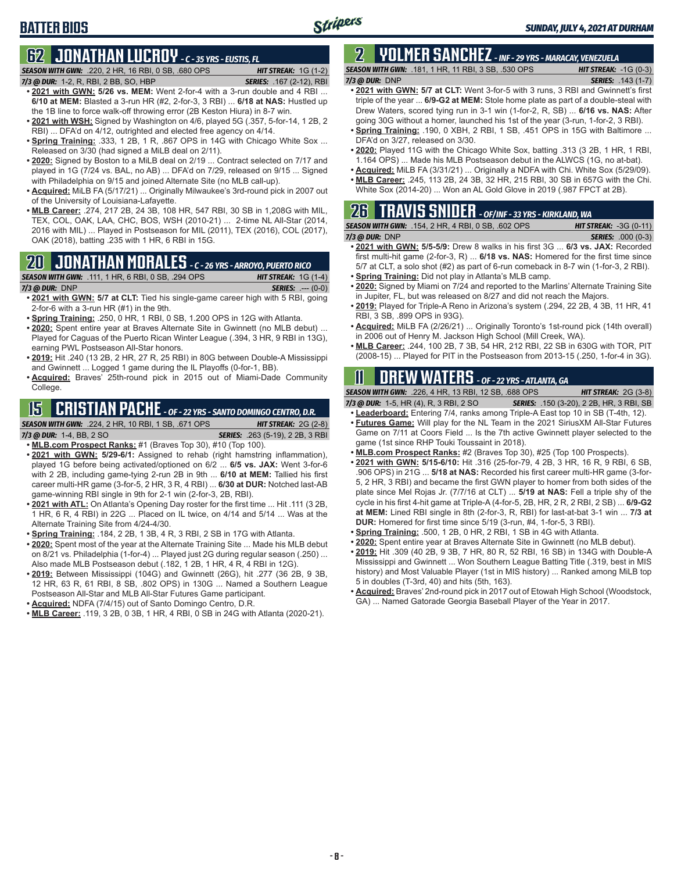# **62 JONATHAN LUCROY** *- C - 35 YRS - EUSTIS, FL*

**BATTER BIOS**

*SEASON WITH GWN:*.220, 2 HR, 16 RBI, 0 SB, .680 OPS *HIT STREAK:* 1G (1-2) *7/3 @ DUR:*1-2, R, RBI, 2 BB, SO, HBP *SERIES:* .167 (2-12), RBI

- **• 2021 with GWN: 5/26 vs. MEM:** Went 2-for-4 with a 3-run double and 4 RBI ... **6/10 at MEM:** Blasted a 3-run HR (#2, 2-for-3, 3 RBI) ... **6/18 at NAS:** Hustled up the 1B line to force walk-off throwing error (2B Keston Hiura) in 8-7 win.
- **• 2021 with WSH:** Signed by Washington on 4/6, played 5G (.357, 5-for-14, 1 2B, 2 RBI) ... DFA'd on 4/12, outrighted and elected free agency on 4/14.
- **• Spring Training:** .333, 1 2B, 1 R, .867 OPS in 14G with Chicago White Sox ... Released on 3/30 (had signed a MiLB deal on 2/11).
- **• 2020:** Signed by Boston to a MiLB deal on 2/19 ... Contract selected on 7/17 and played in 1G (7/24 vs. BAL, no AB) ... DFA'd on 7/29, released on 9/15 ... Signed with Philadelphia on 9/15 and joined Alternate Site (no MLB call-up).
- **• Acquired:** MiLB FA (5/17/21) ... Originally Milwaukee's 3rd-round pick in 2007 out of the University of Louisiana-Lafayette.
- **• MLB Career:** .274, 217 2B, 24 3B, 108 HR, 547 RBI, 30 SB in 1,208G with MIL, TEX, COL, OAK, LAA, CHC, BOS, WSH (2010-21) ... 2-time NL All-Star (2014, 2016 with MIL) ... Played in Postseason for MIL (2011), TEX (2016), COL (2017), OAK (2018), batting .235 with 1 HR, 6 RBI in 15G.

# **20 JONATHAN MORALES** *- C - 26 YRS - ARROYO, PUERTO RICO*

|                | <b>SEASON WITH GWN:</b> .111, 1 HR, 6 RBI, 0 SB, .294 OPS <b>1</b> | <b>HIT STREAK:</b> $1G(1-4)$ |                            |
|----------------|--------------------------------------------------------------------|------------------------------|----------------------------|
| 7/3 @ DUR: DNP |                                                                    |                              | <b>SERIES:</b> $--- (0-0)$ |

- **• 2021 with GWN: 5/7 at CLT:** Tied his single-game career high with 5 RBI, going 2-for-6 with a 3-run HR (#1) in the 9th.
- **• Spring Training:** .250, 0 HR, 1 RBI, 0 SB, 1.200 OPS in 12G with Atlanta.
- **• 2020:** Spent entire year at Braves Alternate Site in Gwinnett (no MLB debut) ... Played for Caguas of the Puerto Rican Winter League (.394, 3 HR, 9 RBI in 13G), earning PWL Postseason All-Star honors.
- **• 2019:** Hit .240 (13 2B, 2 HR, 27 R, 25 RBI) in 80G between Double-A Mississippi and Gwinnett ... Logged 1 game during the IL Playoffs (0-for-1, BB).
- **• Acquired:** Braves' 25th-round pick in 2015 out of Miami-Dade Community College.

# **15 CRISTIAN PACHE** *- OF - 22 YRS - SANTO DOMINGO CENTRO, D.R.*

- *SEASON WITH GWN:*.224, 2 HR, 10 RBI, 1 SB, .671 OPS *HIT STREAK:* 2G (2-8) *7/3 @ DUR:* 1-4, BB, 2 SO *SERIES:* .263 (5-19), 2 2B, 3 RBI
- **• MLB.com Prospect Ranks:** #1 (Braves Top 30), #10 (Top 100).
- **• 2021 with GWN: 5/29-6/1:** Assigned to rehab (right hamstring inflammation), played 1G before being activated/optioned on 6/2 ... **6/5 vs. JAX:** Went 3-for-6 with 2 2B, including game-tying 2-run 2B in 9th ... **6/10 at MEM:** Tallied his first career multi-HR game (3-for-5, 2 HR, 3 R, 4 RBI) ... **6/30 at DUR:** Notched last-AB game-winning RBI single in 9th for 2-1 win (2-for-3, 2B, RBI).
- **• 2021 with ATL:** On Atlanta's Opening Day roster for the first time ... Hit .111 (3 2B, 1 HR, 6 R, 4 RBI) in 22G ... Placed on IL twice, on 4/14 and 5/14 ... Was at the Alternate Training Site from 4/24-4/30.
- **• Spring Training:** .184, 2 2B, 1 3B, 4 R, 3 RBI, 2 SB in 17G with Atlanta.
- **• 2020:** Spent most of the year at the Alternate Training Site ... Made his MLB debut on 8/21 vs. Philadelphia (1-for-4) ... Played just 2G during regular season (.250) ... Also made MLB Postseason debut (.182, 1 2B, 1 HR, 4 R, 4 RBI in 12G).
- **• 2019:** Between Mississippi (104G) and Gwinnett (26G), hit .277 (36 2B, 9 3B, 12 HR, 63 R, 61 RBI, 8 SB, .802 OPS) in 130G ... Named a Southern League Postseason All-Star and MLB All-Star Futures Game participant.
- **• Acquired:** NDFA (7/4/15) out of Santo Domingo Centro, D.R.
- **• MLB Career:** .119, 3 2B, 0 3B, 1 HR, 4 RBI, 0 SB in 24G with Atlanta (2020-21).

# **2 YOLMER SANCHEZ** *- INF - 29 YRS - MARACAY, VENEZUELA*

*SEASON WITH GWN:*.181, 1 HR, 11 RBI, 3 SB, .530 OPS *HIT STREAK:* -1G (0-3)

#### *7/3 @ DUR:*DNP *SERIES:* .143 (1-7)

- **• 2021 with GWN: 5/7 at CLT:** Went 3-for-5 with 3 runs, 3 RBI and Gwinnett's first triple of the year ... **6/9-G2 at MEM:** Stole home plate as part of a double-steal with Drew Waters, scored tying run in 3-1 win (1-for-2, R, SB) ... **6/16 vs. NAS:** After going 30G without a homer, launched his 1st of the year (3-run, 1-for-2, 3 RBI).
- **• Spring Training:** .190, 0 XBH, 2 RBI, 1 SB, .451 OPS in 15G with Baltimore ... DFA'd on 3/27, released on 3/30.
- **• 2020:** Played 11G with the Chicago White Sox, batting .313 (3 2B, 1 HR, 1 RBI, 1.164 OPS) ... Made his MLB Postseason debut in the ALWCS (1G, no at-bat).
- **• Acquired:** MiLB FA (3/31/21) ... Originally a NDFA with Chi. White Sox (5/29/09).
- **• MLB Career:** .245, 113 2B, 24 3B, 32 HR, 215 RBI, 30 SB in 657G with the Chi. White Sox (2014-20) ... Won an AL Gold Glove in 2019 (.987 FPCT at 2B).

# **26 TRAVIS SNIDER** *- OF/INF - 33 YRS - KIRKLAND, WA*

| <b>SEASON WITH GWN: .154, 2 HR, 4 RBI, 0 SB, .602 OPS</b> | <b>HIT STREAK:</b> $-3G(0-11)$ |
|-----------------------------------------------------------|--------------------------------|
| 7/3 @ DUR: DNP                                            | <b>SERIES: .000 (0-3)</b>      |

- **• 2021 with GWN: 5/5-5/9:** Drew 8 walks in his first 3G ... **6/3 vs. JAX:** Recorded first multi-hit game (2-for-3, R) ... **6/18 vs. NAS:** Homered for the first time since 5/7 at CLT, a solo shot (#2) as part of 6-run comeback in 8-7 win (1-for-3, 2 RBI). **• Spring Training:** Did not play in Atlanta's MLB camp.
- 
- **• 2020:** Signed by Miami on 7/24 and reported to the Marlins' Alternate Training Site in Jupiter, FL, but was released on 8/27 and did not reach the Majors.
- **• 2019:** Played for Triple-A Reno in Arizona's system (.294, 22 2B, 4 3B, 11 HR, 41 RBI, 3 SB, .899 OPS in 93G).
- **• Acquired:** MiLB FA (2/26/21) ... Originally Toronto's 1st-round pick (14th overall) in 2006 out of Henry M. Jackson High School (Mill Creek, WA).
- **• MLB Career:** .244, 100 2B, 7 3B, 54 HR, 212 RBI, 22 SB in 630G with TOR, PIT (2008-15) ... Played for PIT in the Postseason from 2013-15 (.250, 1-for-4 in 3G).

### **11 Drew WATERS** *- OF - 22 YRS - ATLANTA, GA*

*SEASON WITH GWN:*.226, 4 HR, 13 RBI, 12 SB, .688 OPS *HIT STREAK:* 2G (3-8)

*7/3 @ DUR:*1-5, HR (4), R, 3 RBI, 2 SO *SERIES:* .150 (3-20), 2 2B, HR, 3 RBI, SB **• Leaderboard:** Entering 7/4, ranks among Triple-A East top 10 in SB (T-4th, 12).

- **• Futures Game:** Will play for the NL Team in the 2021 SiriusXM All-Star Futures Game on 7/11 at Coors Field ... Is the 7th active Gwinnett player selected to the game (1st since RHP Touki Toussaint in 2018).
- **• MLB.com Prospect Ranks:** #2 (Braves Top 30), #25 (Top 100 Prospects).
- **• 2021 with GWN: 5/15-6/10:** Hit .316 (25-for-79, 4 2B, 3 HR, 16 R, 9 RBI, 6 SB, .906 OPS) in 21G ... **5/18 at NAS:** Recorded his first career multi-HR game (3-for-5, 2 HR, 3 RBI) and became the first GWN player to homer from both sides of the plate since Mel Rojas Jr. (7/7/16 at CLT) ... **5/19 at NAS:** Fell a triple shy of the cycle in his first 4-hit game at Triple-A (4-for-5, 2B, HR, 2 R, 2 RBI, 2 SB) ... **6/9-G2 at MEM:** Lined RBI single in 8th (2-for-3, R, RBI) for last-at-bat 3-1 win ... **7/3 at DUR:** Homered for first time since 5/19 (3-run, #4, 1-for-5, 3 RBI).
- **• Spring Training:** .500, 1 2B, 0 HR, 2 RBI, 1 SB in 4G with Atlanta.
- **• 2020:** Spent entire year at Braves Alternate Site in Gwinnett (no MLB debut).
- **• 2019:** Hit .309 (40 2B, 9 3B, 7 HR, 80 R, 52 RBI, 16 SB) in 134G with Double-A Mississippi and Gwinnett ... Won Southern League Batting Title (.319, best in MIS history) and Most Valuable Player (1st in MIS history) ... Ranked among MiLB top 5 in doubles (T-3rd, 40) and hits (5th, 163).
- **• Acquired:** Braves' 2nd-round pick in 2017 out of Etowah High School (Woodstock, GA) ... Named Gatorade Georgia Baseball Player of the Year in 2017.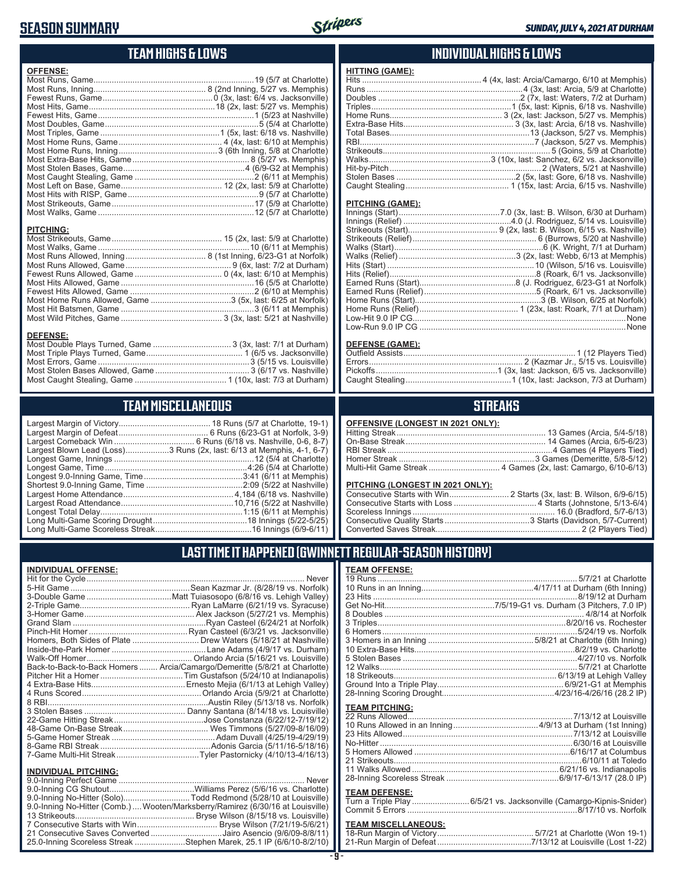### **SEASON SUMMARY**



#### **TEAM HIGHS & LOWS**

| <b>OFFENSE:</b>  |  |
|------------------|--|
|                  |  |
|                  |  |
| <b>PITCHING:</b> |  |
|                  |  |
|                  |  |
|                  |  |
|                  |  |

Most Home Runs Allowed, Game ...................................3 (5x, last: 6/25 at Norfolk) Most Hit Batsmen, Game ..........................................................3 (6/11 at Memphis) Most Wild Pitches, Game ............................................ 3 (3x, last: 5/21 at Nashville)

Most Double Plays Turned, Game .................................. 3 (3x, last: 7/1 at Durham) Most Triple Plays Turned, Game .......................................... 1 (6/5 vs. Jacksonville) Most Errors, Game ..................................................................3 (5/15 vs. Louisville) Most Stolen Bases Allowed, Game ......................................... 3 (6/17 vs. Nashville) Most Caught Stealing, Game ........................................ 1 (10x, last: 7/3 at Durham)

**TEAM MISCELLANEOUS** Largest Margin of Victory........................................ 18 Runs (5/7 at Charlotte, 19-1) Largest Margin of Defeat ....................................... 6 Runs (6/23-G1 at Norfolk, 3-9) Largest Comeback Win ................................... 6 Runs (6/18 vs. Nashville, 0-6, 8-7) Largest Blown Lead (Loss)...................3 Runs (2x, last: 6/13 at Memphis, 4-1, 6-7) Longest Game, Innings .............................................................12 (5/4 at Charlotte) Longest Game, Time ..............................................................4:26 (5/4 at Charlotte) Longest 9.0-Inning Game, Time ...........................................3:41 (6/11 at Memphis) Shortest 9.0-Inning Game, Time ..........................................2:09 (5/22 at Nashville) Largest Home Attendance ................................................ 4,184 (6/18 vs. Nashville) Largest Road Attendance .................................................10,716 (5/22 at Nashville) Longest Total Delay..............................................................1:15 (6/11 at Memphis)

#### **INDIVIDUAL HIGHS & LOWS**

| HIIINU (שמוון,           |                                                                              |
|--------------------------|------------------------------------------------------------------------------|
|                          | Hits ………………………………………………………………………4 (4x, last: Arcia/Camargo, 6/10 at Memphis) |
|                          |                                                                              |
|                          |                                                                              |
|                          |                                                                              |
|                          |                                                                              |
|                          |                                                                              |
|                          |                                                                              |
|                          |                                                                              |
|                          |                                                                              |
|                          |                                                                              |
|                          |                                                                              |
|                          |                                                                              |
|                          |                                                                              |
|                          |                                                                              |
| <b>DITOURLO 10 ABEL.</b> |                                                                              |

#### **PITCHING (GAME):**

**HITTING (GAME):**

#### **DEFENSE (GAME):**

#### **STREAKS**

| OFFENSIVE (LONGEST IN 2021 ONLY): |  |  |  |
|-----------------------------------|--|--|--|
|-----------------------------------|--|--|--|

#### **PITCHING (LONGEST IN 2021 ONLY):**

| <u>LITORING (LONGLOT IN 2021 ONLITE</u> |  |
|-----------------------------------------|--|
|                                         |  |
|                                         |  |
|                                         |  |
|                                         |  |
|                                         |  |
|                                         |  |

#### **LAST TIME IT HAPPENED (GWINNETT REGULAR-SEASON HISTORY)**

| TEAM OFFENSE:         |  |
|-----------------------|--|
|                       |  |
|                       |  |
| <b>TEAM PITCHING:</b> |  |
|                       |  |
|                       |  |
|                       |  |
|                       |  |

#### **TEAM DEFENSE:**

| Turn a Triple Play 6/5/21 vs. Jacksonville (Camargo-Kipnis-Snider) |  |
|--------------------------------------------------------------------|--|
|                                                                    |  |

### **TEAM MISCELLANEOUS:**<br>18-Run Margin of Victory....

#### Long Multi-Game Scoring Drought .........................................18 Innings (5/22-5/25) Long Multi-Game Scoreless Streak ..........................................16 Innings (6/9-6/11)

**DEFENSE:**

#### **INDIVIDUAL OFFENSE:**

|                             | Homers, Both Sides of Plate  Drew Waters (5/18/21 at Nashville)            |
|-----------------------------|----------------------------------------------------------------------------|
|                             |                                                                            |
|                             |                                                                            |
|                             | Back-to-Back-to-Back Homers  Arcia/Camargo/Demeritte (5/8/21 at Charlotte) |
|                             |                                                                            |
|                             |                                                                            |
|                             |                                                                            |
|                             |                                                                            |
|                             |                                                                            |
|                             |                                                                            |
|                             |                                                                            |
|                             |                                                                            |
|                             | 7-Game Multi-Hit Streak…Tyler Pastornicky (4/10/13-4/16/13)                |
|                             |                                                                            |
| <b>INDIVIDUAL PITCHING:</b> |                                                                            |
| 9 0-Inning Perfect Game     | Never                                                                      |

| 9.0-Inning No-Hitter (Comb.)  Wooten/Marksberry/Ramirez (6/30/16 at Louisville) |
|---------------------------------------------------------------------------------|
|                                                                                 |
|                                                                                 |
| 21 Consecutive Saves Converted Jairo Asencio (9/6/09-8/8/11)                    |
| 25.0-Inning Scoreless Streak Stephen Marek, 25.1 IP (6/6/10-8/2/10)             |